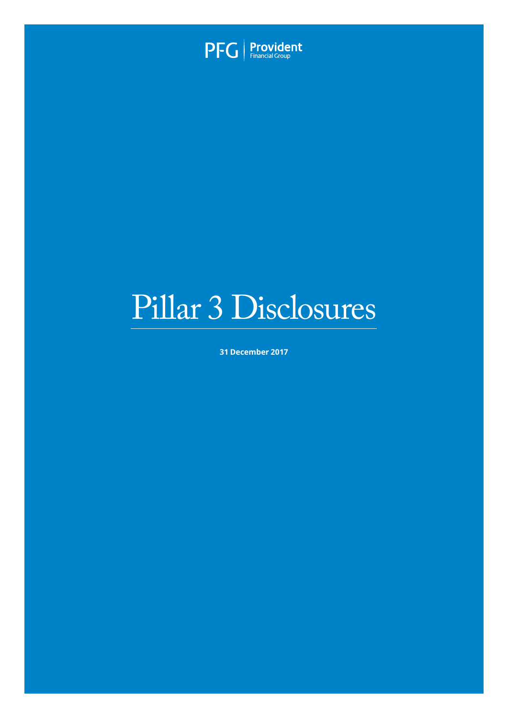

# Pillar 3 Disclosures

**31 December 2017**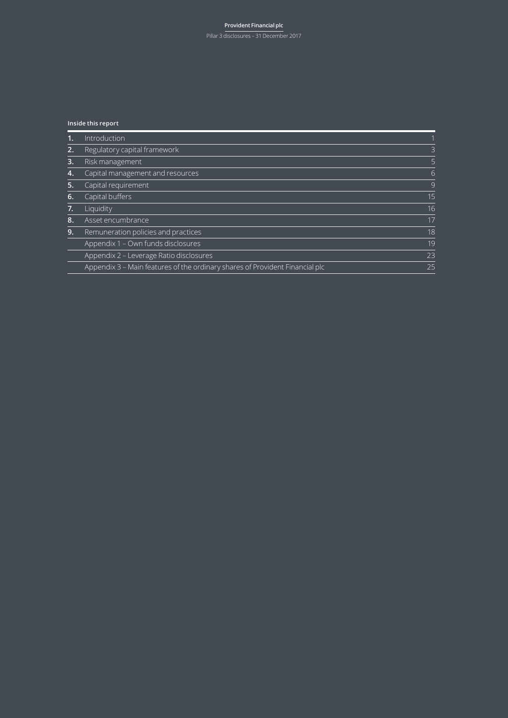#### **Provident Financial plc** Pillar 3 disclosures – 31 December 2017

#### **Inside this report**

|    | Introduction                                                                 |                |
|----|------------------------------------------------------------------------------|----------------|
| 2. | Regulatory capital framework                                                 | $\overline{3}$ |
| 3. | Risk management                                                              | 5              |
| 4. | Capital management and resources                                             | 6              |
| 5. | Capital requirement                                                          | 9              |
| 6. | Capital buffers                                                              | 15             |
| 7. | Liquidity                                                                    | 16             |
| 8. | Asset encumbrance                                                            | 17             |
| 9. | Remuneration policies and practices                                          | 18             |
|    | Appendix 1 - Own funds disclosures                                           | 19             |
|    | Appendix 2 – Leverage Ratio disclosures                                      | 23             |
|    | Appendix 3 – Main features of the ordinary shares of Provident Financial plc | 25             |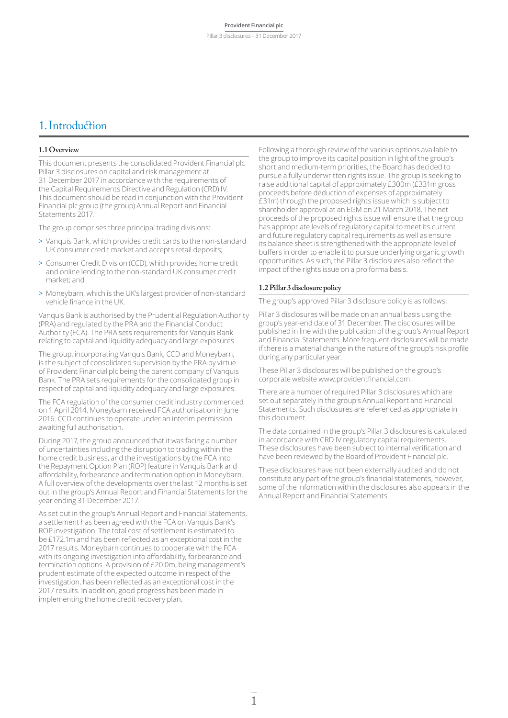### 1.Introduction

#### **1.1 Overview**

This document presents the consolidated Provident Financial plc Pillar 3 disclosures on capital and risk management at 31 December 2017 in accordance with the requirements of the Capital Requirements Directive and Regulation (CRD) IV. This document should be read in conjunction with the Provident Financial plc group (the group) Annual Report and Financial Statements 2017.

The group comprises three principal trading divisions:

- > Vanquis Bank, which provides credit cards to the non-standard UK consumer credit market and accepts retail deposits;
- > Consumer Credit Division (CCD), which provides home credit and online lending to the non-standard UK consumer credit market; and
- > Moneybarn, which is the UK's largest provider of non-standard vehicle finance in the UK.

Vanquis Bank is authorised by the Prudential Regulation Authority (PRA) and regulated by the PRA and the Financial Conduct Authority (FCA). The PRA sets requirements for Vanquis Bank relating to capital and liquidity adequacy and large exposures.

The group, incorporating Vanquis Bank, CCD and Moneybarn, is the subject of consolidated supervision by the PRA by virtue of Provident Financial plc being the parent company of Vanquis Bank. The PRA sets requirements for the consolidated group in respect of capital and liquidity adequacy and large exposures.

The FCA regulation of the consumer credit industry commenced on 1 April 2014. Moneybarn received FCA authorisation in June 2016. CCD continues to operate under an interim permission awaiting full authorisation.

During 2017, the group announced that it was facing a number of uncertainties including the disruption to trading within the home credit business, and the investigations by the FCA into the Repayment Option Plan (ROP) feature in Vanquis Bank and affordability, forbearance and termination option in Moneybarn. A full overview of the developments over the last 12 months is set out in the group's Annual Report and Financial Statements for the year ending 31 December 2017.

As set out in the group's Annual Report and Financial Statements, a settlement has been agreed with the FCA on Vanquis Bank's ROP investigation. The total cost of settlement is estimated to be £172.1m and has been reflected as an exceptional cost in the 2017 results. Moneybarn continues to cooperate with the FCA with its ongoing investigation into affordability, forbearance and termination options. A provision of £20.0m, being management's prudent estimate of the expected outcome in respect of the investigation, has been reflected as an exceptional cost in the 2017 results. In addition, good progress has been made in implementing the home credit recovery plan.

Following a thorough review of the various options available to the group to improve its capital position in light of the group's short and medium-term priorities, the Board has decided to pursue a fully underwritten rights issue. The group is seeking to raise additional capital of approximately £300m (£331m gross proceeds before deduction of expenses of approximately £31m) through the proposed rights issue which is subject to shareholder approval at an EGM on 21 March 2018. The net proceeds of the proposed rights issue will ensure that the group has appropriate levels of regulatory capital to meet its current and future regulatory capital requirements as well as ensure its balance sheet is strengthened with the appropriate level of buffers in order to enable it to pursue underlying organic growth opportunities. As such, the Pillar 3 disclosures also reflect the impact of the rights issue on a pro forma basis.

#### **1.2 Pillar 3 disclosure policy**

The group's approved Pillar 3 disclosure policy is as follows:

Pillar 3 disclosures will be made on an annual basis using the group's year-end date of 31 December. The disclosures will be published in line with the publication of the group's Annual Report and Financial Statements. More frequent disclosures will be made if there is a material change in the nature of the group's risk profile during any particular year.

These Pillar 3 disclosures will be published on the group's corporate website www.providentfinancial.com.

There are a number of required Pillar 3 disclosures which are set out separately in the group's Annual Report and Financial Statements. Such disclosures are referenced as appropriate in this document.

The data contained in the group's Pillar 3 disclosures is calculated in accordance with CRD IV regulatory capital requirements. These disclosures have been subject to internal verification and have been reviewed by the Board of Provident Financial plc.

These disclosures have not been externally audited and do not constitute any part of the group's financial statements, however, some of the information within the disclosures also appears in the Annual Report and Financial Statements.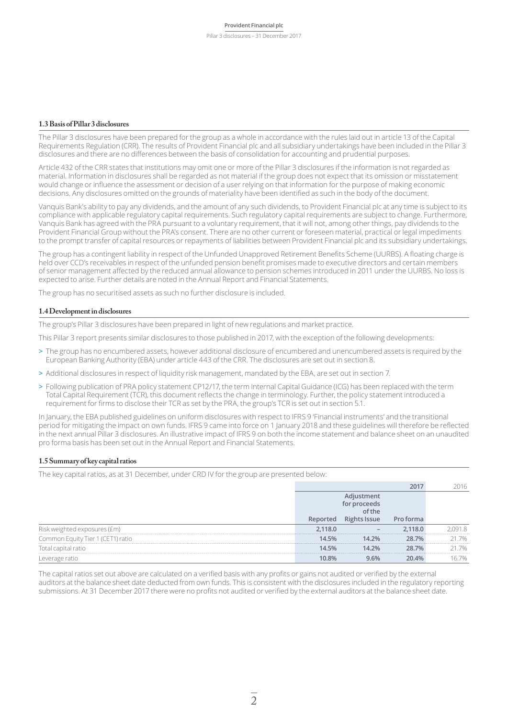#### **1.3 Basis of Pillar 3 disclosures**

The Pillar 3 disclosures have been prepared for the group as a whole in accordance with the rules laid out in article 13 of the Capital Requirements Regulation (CRR). The results of Provident Financial plc and all subsidiary undertakings have been included in the Pillar 3 disclosures and there are no differences between the basis of consolidation for accounting and prudential purposes.

Article 432 of the CRR states that institutions may omit one or more of the Pillar 3 disclosures if the information is not regarded as material. Information in disclosures shall be regarded as not material if the group does not expect that its omission or misstatement would change or influence the assessment or decision of a user relying on that information for the purpose of making economic decisions. Any disclosures omitted on the grounds of materiality have been identified as such in the body of the document.

Vanquis Bank's ability to pay any dividends, and the amount of any such dividends, to Provident Financial plc at any time is subject to its compliance with applicable regulatory capital requirements. Such regulatory capital requirements are subject to change. Furthermore, Vanquis Bank has agreed with the PRA pursuant to a voluntary requirement, that it will not, among other things, pay dividends to the Provident Financial Group without the PRA's consent. There are no other current or foreseen material, practical or legal impediments to the prompt transfer of capital resources or repayments of liabilities between Provident Financial plc and its subsidiary undertakings.

The group has a contingent liability in respect of the Unfunded Unapproved Retirement Benefits Scheme (UURBS). A floating charge is held over CCD's receivables in respect of the unfunded pension benefit promises made to executive directors and certain members of senior management affected by the reduced annual allowance to pension schemes introduced in 2011 under the UURBS. No loss is expected to arise. Further details are noted in the Annual Report and Financial Statements.

The group has no securitised assets as such no further disclosure is included.

#### **1.4 Development in disclosures**

The group's Pillar 3 disclosures have been prepared in light of new regulations and market practice.

This Pillar 3 report presents similar disclosures to those published in 2017, with the exception of the following developments:

- > The group has no encumbered assets, however additional disclosure of encumbered and unencumbered assets is required by the European Banking Authority (EBA) under article 443 of the CRR. The disclosures are set out in section 8.
- > Additional disclosures in respect of liquidity risk management, mandated by the EBA, are set out in section 7.
- > Following publication of PRA policy statement CP12/17, the term Internal Capital Guidance (ICG) has been replaced with the term Total Capital Requirement (TCR), this document reflects the change in terminology. Further, the policy statement introduced a requirement for firms to disclose their TCR as set by the PRA, the group's TCR is set out in section 5.1.

In January, the EBA published guidelines on uniform disclosures with respect to IFRS 9 'Financial instruments' and the transitional period for mitigating the impact on own funds. IFRS 9 came into force on 1 January 2018 and these guidelines will therefore be reflected in the next annual Pillar 3 disclosures. An illustrative impact of IFRS 9 on both the income statement and balance sheet on an unaudited pro forma basis has been set out in the Annual Report and Financial Statements.

#### **1.5 Summary of key capital ratios**

The key capital ratios, as at 31 December, under CRD IV for the group are presented below:

|                                   |          | <b>ssue</b> |       |    |
|-----------------------------------|----------|-------------|-------|----|
| weighted exposures (£m):          | $-118.0$ |             | 18.0  |    |
| Common Equity Tier 1 (CET1) ratio | 14 5%    | 14.2%       | ንጸ 7% | 7% |
| Total capital ratio               | 14.5%    | 14.2%       | 28.7% | 7% |
|                                   |          |             |       |    |

The capital ratios set out above are calculated on a verified basis with any profits or gains not audited or verified by the external auditors at the balance sheet date deducted from own funds. This is consistent with the disclosures included in the regulatory reporting submissions. At 31 December 2017 there were no profits not audited or verified by the external auditors at the balance sheet date.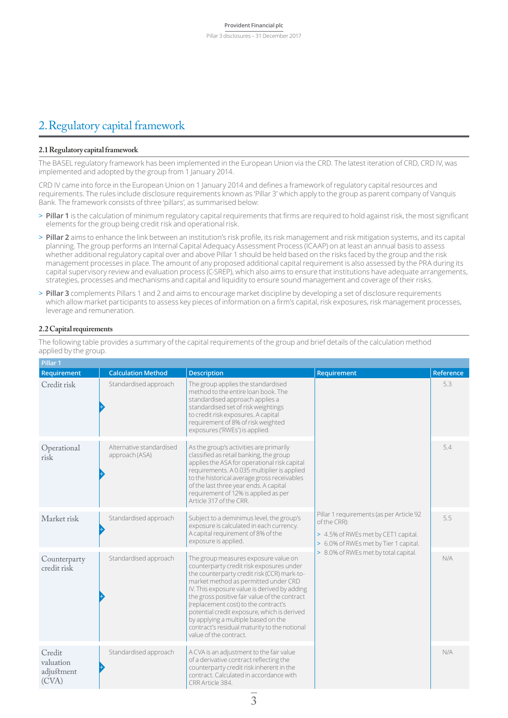### 2.Regulatory capital framework

#### **2.1 Regulatory capital framework**

The BASEL regulatory framework has been implemented in the European Union via the CRD. The latest iteration of CRD, CRD IV, was implemented and adopted by the group from 1 January 2014.

CRD IV came into force in the European Union on 1 January 2014 and defines a framework of regulatory capital resources and requirements. The rules include disclosure requirements known as 'Pillar 3' which apply to the group as parent company of Vanquis Bank. The framework consists of three 'pillars', as summarised below:

- > **Pillar 1** is the calculation of minimum regulatory capital requirements that firms are required to hold against risk, the most significant elements for the group being credit risk and operational risk.
- > **Pillar 2** aims to enhance the link between an institution's risk profile, its risk management and risk mitigation systems, and its capital planning. The group performs an Internal Capital Adequacy Assessment Process (ICAAP) on at least an annual basis to assess whether additional regulatory capital over and above Pillar 1 should be held based on the risks faced by the group and the risk management processes in place. The amount of any proposed additional capital requirement is also assessed by the PRA during its capital supervisory review and evaluation process (C-SREP), which also aims to ensure that institutions have adequate arrangements, strategies, processes and mechanisms and capital and liquidity to ensure sound management and coverage of their risks.
- > **Pillar 3** complements Pillars 1 and 2 and aims to encourage market discipline by developing a set of disclosure requirements which allow market participants to assess key pieces of information on a firm's capital, risk exposures, risk management processes, leverage and remuneration.

#### **2.2 Capital requirements**

**Pillar 1 Requirement Calculation Method Description Requirement Requirement Reference** Credit risk + Standardised approach Fregroup applies the standardised method to the entire loan book. The standardised approach applies a standardised set of risk weightings to credit risk exposures. A capital requirement of 8% of risk weighted exposures ('RWEs') is applied. Pillar 1 requirements (as per Article 92 of the CRR): > 4.5% of RWEs met by CET1 capital. > 6.0% of RWEs met by Tier 1 capital. > 8.0% of RWEs met by total capital. 5.3 Operational risk + Alternative standardised approach (ASA) As the group's activities are primarily classified as retail banking, the group applies the ASA for operational risk capital requirements. A 0.035 multiplier is applied to the historical average gross receivables of the last three year ends. A capital requirement of 12% is applied as per Article 317 of the CRR. 5.4 Market risk + Standardised approach  $\vert$  Subject to a deminimus level, the group's exposure is calculated in each currency. A capital requirement of 8% of the exposure is applied. 5.5 Counterparty credit risk + Standardised approach  $\blacksquare$  The group measures exposure value on counterparty credit risk exposures under the counterparty credit risk (CCR) mark-tomarket method as permitted under CRD IV. This exposure value is derived by adding the gross positive fair value of the contract (replacement cost) to the contract's potential credit exposure, which is derived by applying a multiple based on the contract's residual maturity to the notional value of the contract.  $N/\Delta$ **Credit** valuation adjustment (CVA) + Standardised approach  $\vert A$  CVA is an adjustment to the fair value of a derivative contract reflecting the counterparty credit risk inherent in the contract. Calculated in accordance with CRR Article 384. N/A

The following table provides a summary of the capital requirements of the group and brief details of the calculation method applied by the group.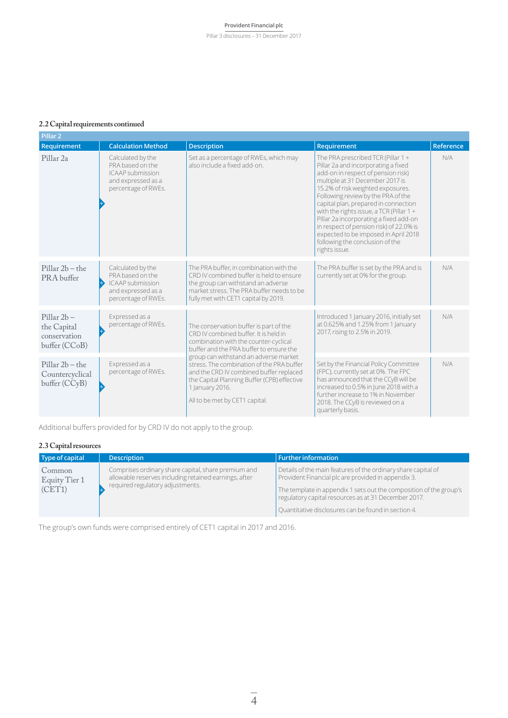Pillar 3 disclosures – 31 December 2017

#### **2.2 Capital requirements continued**

| Pillar <sub>2</sub>                                           |                                                                                                               |                                                                                                                                                                                                                                   |                                                                                                                                                                                                                                                                                                                                                                                                                                                                                                      |           |
|---------------------------------------------------------------|---------------------------------------------------------------------------------------------------------------|-----------------------------------------------------------------------------------------------------------------------------------------------------------------------------------------------------------------------------------|------------------------------------------------------------------------------------------------------------------------------------------------------------------------------------------------------------------------------------------------------------------------------------------------------------------------------------------------------------------------------------------------------------------------------------------------------------------------------------------------------|-----------|
| Requirement                                                   | <b>Calculation Method</b>                                                                                     | <b>Description</b>                                                                                                                                                                                                                | Requirement                                                                                                                                                                                                                                                                                                                                                                                                                                                                                          | Reference |
| Pillar <sub>2a</sub>                                          | Calculated by the<br>PRA based on the<br><b>ICAAP</b> submission<br>and expressed as a<br>percentage of RWEs. | Set as a percentage of RWEs, which may<br>also include a fixed add-on.                                                                                                                                                            | The PRA prescribed TCR (Pillar 1 +<br>Pillar 2a and incorporating a fixed<br>add-on in respect of pension risk)<br>multiple at 31 December 2017 is<br>15.2% of risk weighted exposures.<br>Following review by the PRA of the<br>capital plan, prepared in connection<br>with the rights issue, a TCR (Pillar $1 +$<br>Pillar 2a incorporating a fixed add-on<br>in respect of pension risk) of 22.0% is<br>expected to be imposed in April 2018<br>following the conclusion of the<br>rights issue. | N/A       |
| $Pillar 2b - the$<br>PRA buffer                               | Calculated by the<br>PRA based on the<br><b>ICAAP</b> submission<br>and expressed as a<br>percentage of RWEs. | The PRA buffer, in combination with the<br>CRD IV combined buffer is held to ensure<br>the group can withstand an adverse<br>market stress. The PRA buffer needs to be<br>fully met with CET1 capital by 2019.                    | The PRA buffer is set by the PRA and is<br>currently set at 0% for the group.                                                                                                                                                                                                                                                                                                                                                                                                                        | N/A       |
| $Pillar 2b -$<br>the Capital<br>conservation<br>buffer (CCoB) | Expressed as a<br>percentage of RWEs.                                                                         | The conservation buffer is part of the<br>CRD IV combined buffer. It is held in<br>combination with the counter-cyclical<br>buffer and the PRA buffer to ensure the                                                               | Introduced 1 January 2016, initially set<br>at 0.625% and 1.25% from 1 January<br>2017, rising to 2.5% in 2019.                                                                                                                                                                                                                                                                                                                                                                                      | N/A       |
| $Pillar 2b - the$<br>Countercyclical<br>buffer (CCyB)         | Expressed as a<br>percentage of RWEs.                                                                         | group can withstand an adverse market<br>stress. The combination of the PRA buffer<br>and the CRD IV combined buffer replaced<br>the Capital Planning Buffer (CPB) effective<br>1 January 2016.<br>All to be met by CET1 capital. | Set by the Financial Policy Committee<br>(FPC), currently set at 0%. The FPC<br>has announced that the CCyB will be<br>increased to 0.5% in June 2018 with a<br>further increase to 1% in November<br>2018. The CCyB is reviewed on a<br>quarterly basis.                                                                                                                                                                                                                                            | N/A       |

Additional buffers provided for by CRD IV do not apply to the group.

#### **2.3 Capital resources**

| Type of capital                   | <b>Description</b>                                                                                                                               | $\mid$ Further information                                                                                                                                                                                                                                                                                |
|-----------------------------------|--------------------------------------------------------------------------------------------------------------------------------------------------|-----------------------------------------------------------------------------------------------------------------------------------------------------------------------------------------------------------------------------------------------------------------------------------------------------------|
| Common<br>Equity Tier 1<br>(CET1) | Comprises ordinary share capital, share premium and<br>allowable reserves including retained earnings, after<br>required regulatory adjustments. | Details of the main features of the ordinary share capital of<br>Provident Financial plc are provided in appendix 3.<br>The template in appendix 1 sets out the composition of the group's<br>regulatory capital resources as at 31 December 2017.<br>Quantitative disclosures can be found in section 4. |

The group's own funds were comprised entirely of CET1 capital in 2017 and 2016.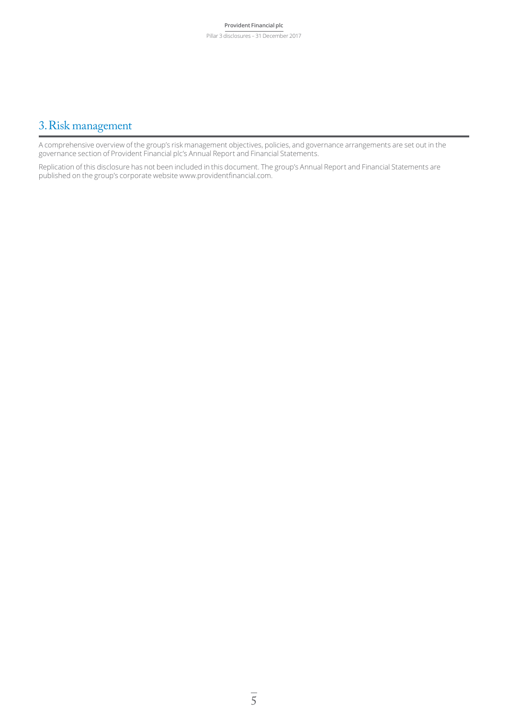### 3.Risk management

A comprehensive overview of the group's risk management objectives, policies, and governance arrangements are set out in the governance section of Provident Financial plc's Annual Report and Financial Statements.

Replication of this disclosure has not been included in this document. The group's Annual Report and Financial Statements are published on the group's corporate website www.providentfinancial.com.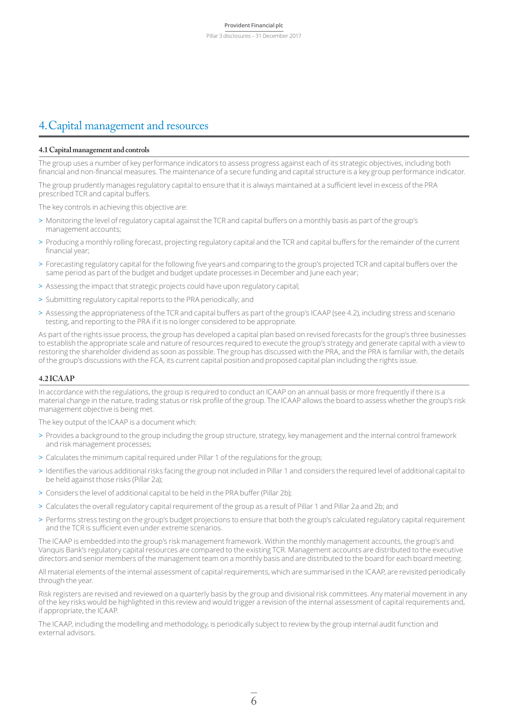### 4.Capital management and resources

#### **4.1 Capital management and controls**

The group uses a number of key performance indicators to assess progress against each of its strategic objectives, including both financial and non-financial measures. The maintenance of a secure funding and capital structure is a key group performance indicator.

The group prudently manages regulatory capital to ensure that it is always maintained at a sufficient level in excess of the PRA prescribed TCR and capital buffers.

The key controls in achieving this objective are:

- > Monitoring the level of regulatory capital against the TCR and capital buffers on a monthly basis as part of the group's management accounts;
- > Producing a monthly rolling forecast, projecting regulatory capital and the TCR and capital buffers for the remainder of the current financial year;
- > Forecasting regulatory capital for the following five years and comparing to the group's projected TCR and capital buffers over the same period as part of the budget and budget update processes in December and June each year;
- > Assessing the impact that strategic projects could have upon regulatory capital;
- > Submitting regulatory capital reports to the PRA periodically; and
- > Assessing the appropriateness of the TCR and capital buffers as part of the group's ICAAP (see 4.2), including stress and scenario testing, and reporting to the PRA if it is no longer considered to be appropriate.

As part of the rights issue process, the group has developed a capital plan based on revised forecasts for the group's three businesses to establish the appropriate scale and nature of resources required to execute the group's strategy and generate capital with a view to restoring the shareholder dividend as soon as possible. The group has discussed with the PRA, and the PRA is familiar with, the details of the group's discussions with the FCA, its current capital position and proposed capital plan including the rights issue.

#### **4.2 ICAAP**

In accordance with the regulations, the group is required to conduct an ICAAP on an annual basis or more frequently if there is a material change in the nature, trading status or risk profile of the group. The ICAAP allows the board to assess whether the group's risk management objective is being met.

The key output of the ICAAP is a document which:

- > Provides a background to the group including the group structure, strategy, key management and the internal control framework and risk management processes;
- > Calculates the minimum capital required under Pillar 1 of the regulations for the group;
- > Identifies the various additional risks facing the group not included in Pillar 1 and considers the required level of additional capital to be held against those risks (Pillar 2a);
- > Considers the level of additional capital to be held in the PRA buffer (Pillar 2b);
- > Calculates the overall regulatory capital requirement of the group as a result of Pillar 1 and Pillar 2a and 2b; and
- > Performs stress testing on the group's budget projections to ensure that both the group's calculated regulatory capital requirement and the TCR is sufficient even under extreme scenarios.

The ICAAP is embedded into the group's risk management framework. Within the monthly management accounts, the group's and Vanquis Bank's regulatory capital resources are compared to the existing TCR. Management accounts are distributed to the executive directors and senior members of the management team on a monthly basis and are distributed to the board for each board meeting.

All material elements of the internal assessment of capital requirements, which are summarised in the ICAAP, are revisited periodically through the year.

Risk registers are revised and reviewed on a quarterly basis by the group and divisional risk committees. Any material movement in any of the key risks would be highlighted in this review and would trigger a revision of the internal assessment of capital requirements and, if appropriate, the ICAAP.

The ICAAP, including the modelling and methodology, is periodically subject to review by the group internal audit function and external advisors.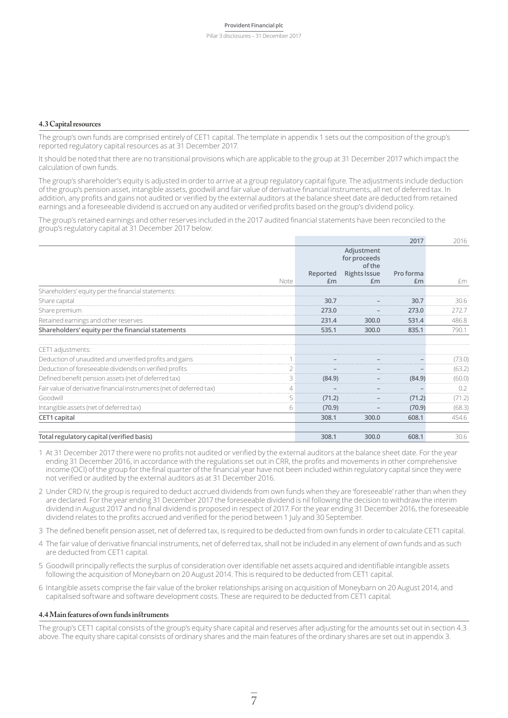#### **4.3 Capital resources**

The group's own funds are comprised entirely of CET1 capital. The template in appendix 1 sets out the composition of the group's reported regulatory capital resources as at 31 December 2017.

It should be noted that there are no transitional provisions which are applicable to the group at 31 December 2017 which impact the calculation of own funds.

The group's shareholder's equity is adjusted in order to arrive at a group regulatory capital figure. The adjustments include deduction of the group's pension asset, intangible assets, goodwill and fair value of derivative financial instruments, all net of deferred tax. In addition, any profits and gains not audited or verified by the external auditors at the balance sheet date are deducted from retained earnings and a foreseeable dividend is accrued on any audited or verified profits based on the group's dividend policy.

The group's retained earnings and other reserves included in the 2017 audited financial statements have been reconciled to the group's regulatory capital at 31 December 2017 below:

|                                                                      |             |                                      | 2017      | 2016   |
|----------------------------------------------------------------------|-------------|--------------------------------------|-----------|--------|
|                                                                      |             | Adjustment<br>for proceeds<br>of the |           |        |
|                                                                      | Reported    | <b>Rights Issue</b>                  | Pro forma |        |
| Note                                                                 | Em          | £m                                   | £m        | £m     |
| Shareholders' equity per the financial statements:                   |             |                                      |           |        |
| Share capital                                                        | 30.7        |                                      | 30.7      | 30.6   |
| Share premium                                                        | 273.0       |                                      | 273.0     | 272.7  |
| Retained earnings and other reserves                                 | 231.4       | 300.0                                | 531.4     | 486.8  |
| Shareholders' equity per the financial statements                    | 535.1       | 300.0                                | 835.1     | 790.1  |
| CET1 adjustments:                                                    |             |                                      |           |        |
| Deduction of unaudited and unverified profits and gains              |             |                                      |           | (73.0) |
| Deduction of foreseeable dividends on verified profits               |             |                                      |           | (63.2) |
| Defined benefit pension assets (net of deferred tax)                 | 3<br>(84.9) |                                      | (84.9)    | (60.0) |
| Fair value of derivative financial instruments (net of deferred tax) |             |                                      |           | 0.2    |
| Goodwill                                                             | (71.2)      |                                      | (71.2)    | (71.2) |
| Intangible assets (net of deferred tax)                              | 6<br>(70.9) |                                      | (70.9)    | (68.3) |
| CET1 capital                                                         | 308.1       | 300.0                                | 608.1     | 454.6  |
|                                                                      |             |                                      |           |        |
| Total regulatory capital (verified basis)                            | 308.1       | 300.0                                | 608.1     | 30.6   |

- 1 At 31 December 2017 there were no profits not audited or verified by the external auditors at the balance sheet date. For the year ending 31 December 2016, in accordance with the regulations set out in CRR, the profits and movements in other comprehensive income (OCI) of the group for the final quarter of the financial year have not been included within regulatory capital since they were not verified or audited by the external auditors as at 31 December 2016.
- 2 Under CRD IV, the group is required to deduct accrued dividends from own funds when they are 'foreseeable' rather than when they are declared. For the year ending 31 December 2017 the foreseeable dividend is nil following the decision to withdraw the interim dividend in August 2017 and no final dividend is proposed in respect of 2017. For the year ending 31 December 2016, the foreseeable dividend relates to the profits accrued and verified for the period between 1 July and 30 September.
- 3 The defined benefit pension asset, net of deferred tax, is required to be deducted from own funds in order to calculate CET1 capital.
- 4 The fair value of derivative financial instruments, net of deferred tax, shall not be included in any element of own funds and as such are deducted from CET1 capital.
- 5 Goodwill principally reflects the surplus of consideration over identifiable net assets acquired and identifiable intangible assets following the acquisition of Moneybarn on 20 August 2014. This is required to be deducted from CET1 capital.
- 6 Intangible assets comprise the fair value of the broker relationships arising on acquisition of Moneybarn on 20 August 2014, and capitalised software and software development costs. These are required to be deducted from CET1 capital.

#### **4.4 Main features of own funds instruments**

The group's CET1 capital consists of the group's equity share capital and reserves after adjusting for the amounts set out in section 4.3 above. The equity share capital consists of ordinary shares and the main features of the ordinary shares are set out in appendix 3.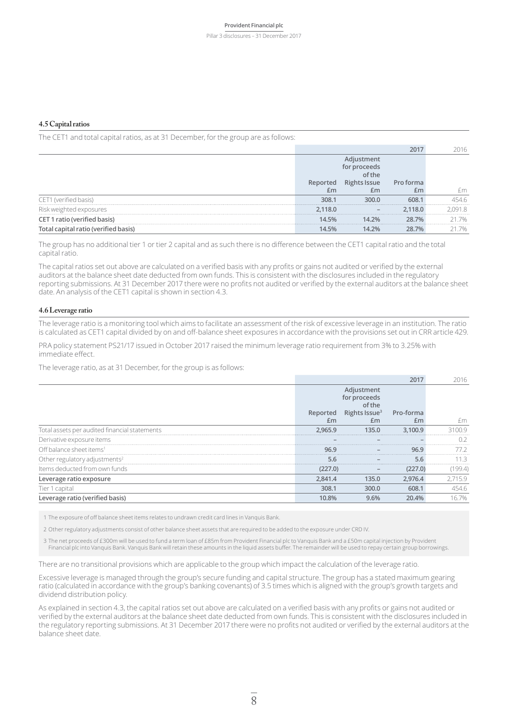Pillar 3 disclosures – 31 December 2017

#### **4.5 Capital ratios**

The CET1 and total capital ratios, as at 31 December, for the group are as follows:

|                              |        |       | forma | - m |
|------------------------------|--------|-------|-------|-----|
|                              | ᅬ      |       |       |     |
| ! (verified basis)           | 308.1  | 300.0 |       |     |
| Risk weighted exposures      | .118.0 |       | 18 N  |     |
| CET 1 ratio (verified basis) | 14.5%  | 14 ን‰ | ንጸ 7% |     |
|                              |        | 7%    | 70/6  |     |

The group has no additional tier 1 or tier 2 capital and as such there is no difference between the CET1 capital ratio and the total capital ratio.

The capital ratios set out above are calculated on a verified basis with any profits or gains not audited or verified by the external auditors at the balance sheet date deducted from own funds. This is consistent with the disclosures included in the regulatory reporting submissions. At 31 December 2017 there were no profits not audited or verified by the external auditors at the balance sheet date. An analysis of the CET1 capital is shown in section 4.3.

#### **4.6 Leverage ratio**

The leverage ratio is a monitoring tool which aims to facilitate an assessment of the risk of excessive leverage in an institution. The ratio is calculated as CET1 capital divided by on and off-balance sheet exposures in accordance with the provisions set out in CRR article 429.

PRA policy statement PS21/17 issued in October 2017 raised the minimum leverage ratio requirement from 3% to 3.25% with immediate effect.

The leverage ratio, as at 31 December, for the group is as follows:

|                                               |                |                                      |                 | 2016    |
|-----------------------------------------------|----------------|--------------------------------------|-----------------|---------|
|                                               |                | Adjustment<br>for proceeds<br>of the |                 |         |
|                                               | Reported<br>£m | Rights Issue <sup>3</sup><br>£m      | Pro-forma<br>£m | ŀm      |
|                                               |                |                                      |                 |         |
| Total assets per audited financial statements | 2.965.9        | 135.0                                | 3.100.9         |         |
| Derivative exposure items                     |                |                                      |                 |         |
| Off balance sheet items <sup>1</sup>          | 96.9           |                                      | 96.9            |         |
| Other regulatory adjustments $2$              | 5.6            |                                      | 5.6             |         |
| Items deducted from own funds                 | (227.0)        |                                      | 227.0)          | 199.4)  |
| Leverage ratio exposure                       | 2,841.4        | 135.0                                | 2,976.4         | 2.715.9 |
| Tier 1 capital                                | 308.1          | 300.0                                | 608.1           | 154.6   |
| Leverage ratio (verified basis)               | 10.8%          | 9.6%                                 | 20.4%           | 16.7%   |

1 The exposure of off balance sheet items relates to undrawn credit card lines in Vanquis Bank.

2 Other regulatory adjustments consist of other balance sheet assets that are required to be added to the exposure under CRD IV.

3 The net proceeds of £300m will be used to fund a term loan of £85m from Provident Financial plc to Vanquis Bank and a £50m capital injection by Provident Financial plc into Vanquis Bank. Vanquis Bank will retain these amounts in the liquid assets buffer. The remainder will be used to repay certain group borrowings.

There are no transitional provisions which are applicable to the group which impact the calculation of the leverage ratio.

Excessive leverage is managed through the group's secure funding and capital structure. The group has a stated maximum gearing ratio (calculated in accordance with the group's banking covenants) of 3.5 times which is aligned with the group's growth targets and dividend distribution policy.

As explained in section 4.3, the capital ratios set out above are calculated on a verified basis with any profits or gains not audited or verified by the external auditors at the balance sheet date deducted from own funds. This is consistent with the disclosures included in the regulatory reporting submissions. At 31 December 2017 there were no profits not audited or verified by the external auditors at the balance sheet date.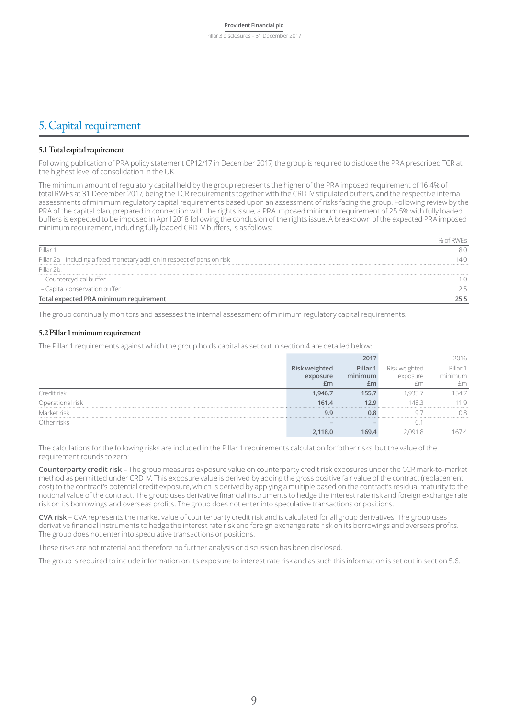### 5.Capital requirement

#### **5.1 Total capital requirement**

Following publication of PRA policy statement CP12/17 in December 2017, the group is required to disclose the PRA prescribed TCR at the highest level of consolidation in the UK.

The minimum amount of regulatory capital held by the group represents the higher of the PRA imposed requirement of 16.4% of total RWEs at 31 December 2017, being the TCR requirements together with the CRD IV stipulated buffers, and the respective internal assessments of minimum regulatory capital requirements based upon an assessment of risks facing the group. Following review by the PRA of the capital plan, prepared in connection with the rights issue, a PRA imposed minimum requirement of 25.5% with fully loaded buffers is expected to be imposed in April 2018 following the conclusion of the rights issue. A breakdown of the expected PRA imposed minimum requirement, including fully loaded CRD IV buffers, is as follows:

| Pillar 1                                                                 |  |
|--------------------------------------------------------------------------|--|
| Pillar 2a - including a fixed monetary add-on in respect of pension risk |  |
| Pillar 2b:                                                               |  |
| – Countercyclical buffer                                                 |  |
| - Capital conservation buffer                                            |  |
| Total expected PRA minimum requirement                                   |  |

The group continually monitors and assesses the internal assessment of minimum regulatory capital requirements.

#### **5.2 Pillar 1 minimum requirement**

The Pillar 1 requirements against which the group holds capital as set out in section 4 are detailed below:

|                         |      | Pillar |         |
|-------------------------|------|--------|---------|
|                         |      |        | minimum |
|                         |      |        |         |
| <sup>o</sup> redit risk | 9467 |        |         |
| Operational             | 61.4 |        |         |
| Aarket risk             |      |        |         |
|                         |      |        |         |
|                         |      |        |         |

The calculations for the following risks are included in the Pillar 1 requirements calculation for 'other risks' but the value of the requirement rounds to zero:

**Counterparty credit risk** – The group measures exposure value on counterparty credit risk exposures under the CCR mark-to-market method as permitted under CRD IV. This exposure value is derived by adding the gross positive fair value of the contract (replacement cost) to the contract's potential credit exposure, which is derived by applying a multiple based on the contract's residual maturity to the notional value of the contract. The group uses derivative financial instruments to hedge the interest rate risk and foreign exchange rate risk on its borrowings and overseas profits. The group does not enter into speculative transactions or positions.

**CVA risk** – CVA represents the market value of counterparty credit risk and is calculated for all group derivatives. The group uses derivative financial instruments to hedge the interest rate risk and foreign exchange rate risk on its borrowings and overseas profits. The group does not enter into speculative transactions or positions.

These risks are not material and therefore no further analysis or discussion has been disclosed.

The group is required to include information on its exposure to interest rate risk and as such this information is set out in section 5.6.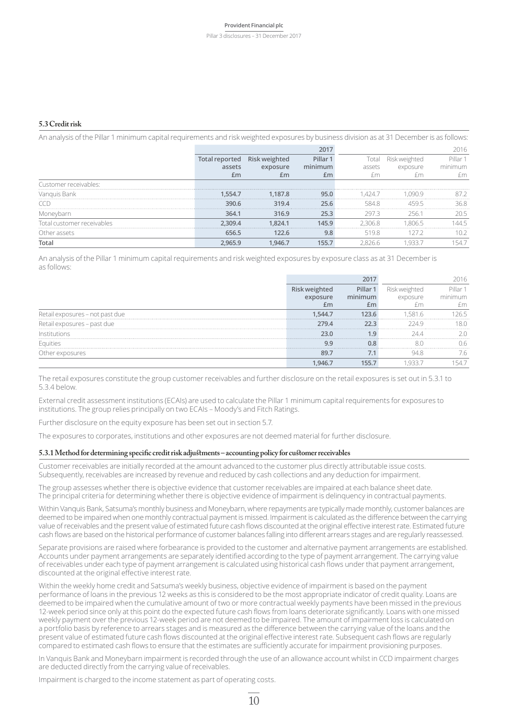#### Pillar 3 disclosures – 31 December 2017

#### **5.3 Credit risk**

An analysis of the Pillar 1 minimum capital requirements and risk weighted exposures by business division as at 31 December is as follows:

|              |         |       | min |       | ıre | minimum |
|--------------|---------|-------|-----|-------|-----|---------|
|              | £m      |       |     |       |     |         |
|              |         |       |     |       |     |         |
| Vanguis Bank | 54.,    | 187.8 |     |       |     |         |
|              | 390.6   | 319.4 |     | 584   |     |         |
|              | 364.1   | 316.9 |     | 297 R |     |         |
| ∍⊿ור         | $-09.4$ | 824.1 |     | 06.8  |     |         |
| assets       |         |       |     |       |     |         |
|              |         |       |     |       |     |         |

An analysis of the Pillar 1 minimum capital requirements and risk weighted exposures by exposure class as at 31 December is as follows:

|              |       | llar <sup>-</sup> |  |
|--------------|-------|-------------------|--|
|              |       |                   |  |
|              |       |                   |  |
|              |       |                   |  |
| isures - pas | 279.4 |                   |  |
|              |       |                   |  |
|              |       |                   |  |
|              |       |                   |  |
|              |       |                   |  |

The retail exposures constitute the group customer receivables and further disclosure on the retail exposures is set out in 5.3.1 to 5.3.4 below.

External credit assessment institutions (ECAIs) are used to calculate the Pillar 1 minimum capital requirements for exposures to institutions. The group relies principally on two ECAIs – Moody's and Fitch Ratings.

Further disclosure on the equity exposure has been set out in section 5.7.

The exposures to corporates, institutions and other exposures are not deemed material for further disclosure.

#### **5.3.1 Method for determining specific credit risk adjustments – accounting policy for customer receivables**

Customer receivables are initially recorded at the amount advanced to the customer plus directly attributable issue costs. Subsequently, receivables are increased by revenue and reduced by cash collections and any deduction for impairment.

The group assesses whether there is objective evidence that customer receivables are impaired at each balance sheet date. The principal criteria for determining whether there is objective evidence of impairment is delinquency in contractual payments.

Within Vanquis Bank, Satsuma's monthly business and Moneybarn, where repayments are typically made monthly, customer balances are deemed to be impaired when one monthly contractual payment is missed. Impairment is calculated as the difference between the carrying value ofreceivables and the present value of estimated future cash flows discounted at the original effective interestrate. Estimated future cash flows are based on the historical performance of customer balances falling into different arrears stages and are regularly reassessed.

Separate provisions are raised where forbearance is provided to the customer and alternative payment arrangements are established. Accounts under payment arrangements are separately identified according to the type of payment arrangement. The carrying value of receivables under each type of payment arrangement is calculated using historical cash flows under that payment arrangement, discounted at the original effective interest rate.

Within the weekly home credit and Satsuma's weekly business, objective evidence of impairment is based on the payment performance of loans in the previous 12 weeks as this is considered to be the most appropriate indicator of credit quality. Loans are deemed to be impaired when the cumulative amount of two or more contractual weekly payments have been missed in the previous 12-week period since only at this point do the expected future cash flows from loans deteriorate significantly. Loans with one missed weekly payment over the previous 12-week period are not deemed to be impaired. The amount of impairment loss is calculated on a portfolio basis by reference to arrears stages and is measured as the difference between the carrying value of the loans and the present value of estimated future cash flows discounted at the original effective interest rate. Subsequent cash flows are regularly compared to estimated cash flows to ensure that the estimates are sufficiently accurate for impairment provisioning purposes.

In Vanquis Bank and Moneybarn impairment is recorded through the use of an allowance account whilst in CCD impairment charges are deducted directly from the carrying value of receivables.

Impairment is charged to the income statement as part of operating costs.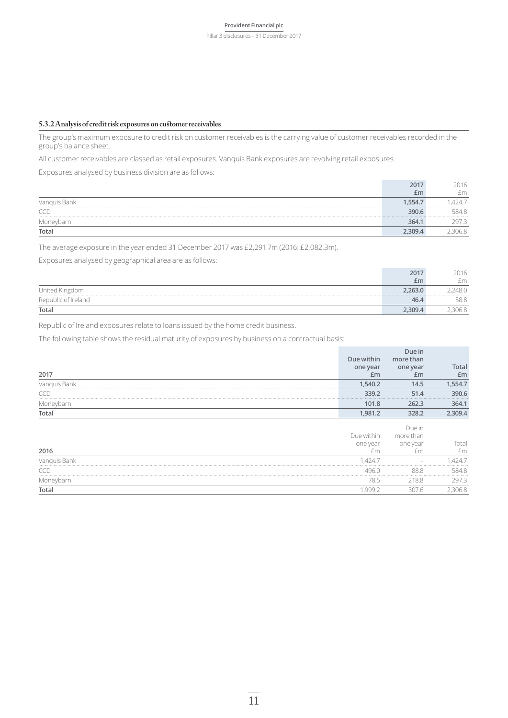Pillar 3 disclosures – 31 December 2017

#### **5.3.2 Analysis of credit risk exposures on customer receivables**

The group's maximum exposure to credit risk on customer receivables is the carrying value of customer receivables recorded in the group's balance sheet.

All customer receivables are classed as retail exposures. Vanquis Bank exposures are revolving retail exposures.

Exposures analysed by business division are as follows:

|       | ·m |
|-------|----|
|       |    |
|       |    |
|       |    |
| Total |    |

The average exposure in the year ended 31 December 2017 was £2,291.7m (2016: £2,082.3m).

Exposures analysed by geographical area are as follows:

|                | £m | m    |
|----------------|----|------|
| United Kingdom |    |      |
|                |    | 58.8 |
| Total          |    |      |

Republic of Ireland exposures relate to loans issued by the home credit business.

The following table shows the residual maturity of exposures by business on a contractual basis:

| 2017         | Due within<br>one year<br>Em | Due in<br>more than<br>one year<br>£m | Total<br>Em |
|--------------|------------------------------|---------------------------------------|-------------|
| Vanquis Bank | 1,540.2<br>.                 | 14.5<br>                              | ,554.7      |
| <b>CCD</b>   | 339.2                        | 51.4                                  | 390.6       |
| Moneybarn    | 101.8                        | 262.3                                 | 364.1       |
| Total        | 1,981.2                      | 328.2                                 | 2,309.4     |
| 2016         | Due within<br>one year<br>fm | Due in<br>more than<br>one year       | Total<br>£m |
| Vanguis Bank | .424.7                       |                                       | 4247        |
| TCE          | 496 N                        | 88.8                                  | 584 8       |
| Moneybarn    | 78.5                         | 218.8                                 | 297.3       |
| Total        | .999.2                       | 307.6                                 | 306.8       |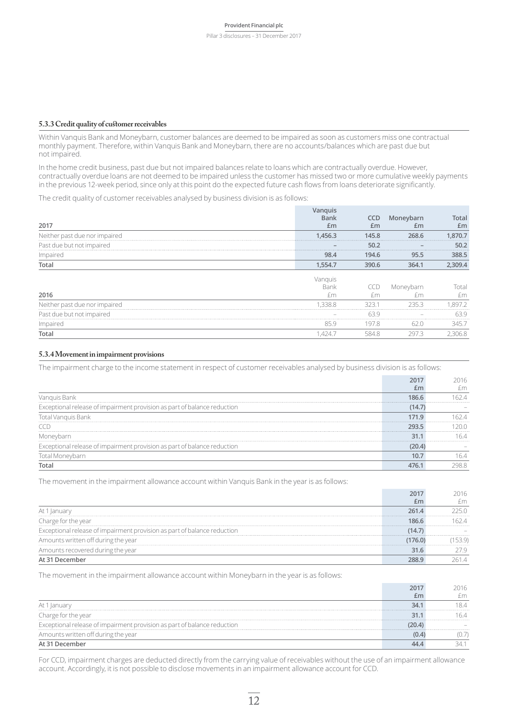#### **5.3.3 Credit quality of customer receivables**

Within Vanquis Bank and Moneybarn, customer balances are deemed to be impaired as soon as customers miss one contractual monthly payment. Therefore, within Vanquis Bank and Moneybarn, there are no accounts/balances which are past due but not impaired.

In the home credit business, past due but not impaired balances relate to loans which are contractually overdue. However, contractually overdue loans are not deemed to be impaired unless the customer has missed two or more cumulative weekly payments in the previous 12-week period, since only at this point do the expected future cash flows from loans deteriorate significantly.

The credit quality of customer receivables analysed by business division is as follows:

| Past due but not impaired<br>Impairec | -<br>98.4 | 194.6 | 388.5      |
|---------------------------------------|-----------|-------|------------|
|                                       |           |       |            |
|                                       |           |       |            |
| due nor impaired                      |           | 45.8  | 70.7       |
| 2017                                  |           | £m    | otal<br>£m |

|                             | <b>Bank</b>              |     | Moneybarn | Total |
|-----------------------------|--------------------------|-----|-----------|-------|
| 2016                        | $+m$                     |     |           | fm    |
| due nor impaired<br>Neither | .338.8                   |     |           |       |
| Past due but not impaired   | $\overline{\phantom{a}}$ | 639 |           |       |
| Impaired                    |                          |     |           |       |
| Total                       | $424 -$                  |     |           |       |

#### **5.3.4 Movement in impairment provisions**

The impairment charge to the income statement in respect of customer receivables analysed by business division is as follows:

| Vanguis Bank                                                             |  |
|--------------------------------------------------------------------------|--|
| Exceptional release of impairment provision as part of balance reduction |  |
| Total Vanguis Bank                                                       |  |
|                                                                          |  |
|                                                                          |  |
| Exceptional release of impairment provision as part of balance reduction |  |
|                                                                          |  |
|                                                                          |  |

The movement in the impairment allowance account within Vanquis Bank in the year is as follows:

| At                                                                       |  |
|--------------------------------------------------------------------------|--|
| narge for the year                                                       |  |
| Exceptional release of impairment provision as part of balance reduction |  |
| Amounts written off during the year                                      |  |
| Amounts recovered during the year                                        |  |
|                                                                          |  |

**2017**

The movement in the impairment allowance account within Moneybarn in the year is as follows:

| At 1<br>-lanuai                                                          | . |  |
|--------------------------------------------------------------------------|---|--|
| Charge for the vear                                                      |   |  |
| Exceptional release of impairment provision as part of balance reduction |   |  |
| Amounts written off during the year                                      |   |  |
|                                                                          |   |  |

For CCD, impairment charges are deducted directly from the carrying value of receivables without the use of an impairment allowance account. Accordingly, it is not possible to disclose movements in an impairment allowance account for CCD.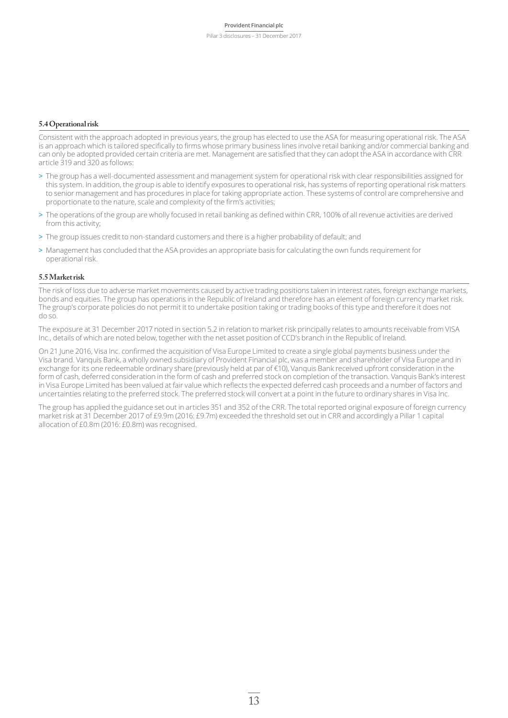#### **5.4 Operational risk**

Consistent with the approach adopted in previous years, the group has elected to use the ASA for measuring operational risk. The ASA is an approach which is tailored specifically to firms whose primary business lines involve retail banking and/or commercial banking and can only be adopted provided certain criteria are met. Management are satisfied that they can adopt the ASA in accordance with CRR article 319 and 320 as follows:

- > The group has a well-documented assessment and management system for operational risk with clear responsibilities assigned for this system. In addition, the group is able to identify exposures to operational risk, has systems of reporting operational risk matters to senior management and has procedures in place for taking appropriate action. These systems of control are comprehensive and proportionate to the nature, scale and complexity of the firm's activities;
- > The operations of the group are wholly focused in retail banking as defined within CRR, 100% of all revenue activities are derived from this activity;
- > The group issues credit to non-standard customers and there is a higher probability of default; and
- > Management has concluded that the ASA provides an appropriate basis for calculating the own funds requirement for operational risk.

#### **5.5 Market risk**

The risk of loss due to adverse market movements caused by active trading positions taken in interest rates, foreign exchange markets, bonds and equities. The group has operations in the Republic of Ireland and therefore has an element of foreign currency market risk. The group's corporate policies do not permit it to undertake position taking or trading books of this type and therefore it does not do so.

The exposure at 31 December 2017 noted in section 5.2 in relation to market risk principally relates to amounts receivable from VISA Inc., details of which are noted below, together with the net asset position of CCD's branch in the Republic of Ireland.

On 21 June 2016, Visa Inc. confirmed the acquisition of Visa Europe Limited to create a single global payments business under the Visa brand. Vanquis Bank, a wholly owned subsidiary of Provident Financial plc, was a member and shareholder of Visa Europe and in exchange for its one redeemable ordinary share (previously held at par of €10), Vanquis Bank received upfront consideration in the form of cash, deferred consideration in the form of cash and preferred stock on completion of the transaction. Vanquis Bank's interest in Visa Europe Limited has been valued at fair value which reflects the expected deferred cash proceeds and a number of factors and uncertainties relating to the preferred stock. The preferred stock will convert at a point in the future to ordinary shares in Visa Inc.

The group has applied the guidance set out in articles 351 and 352 of the CRR. The total reported original exposure of foreign currency market risk at 31 December 2017 of £9.9m (2016: £9.7m) exceeded the threshold set out in CRR and accordingly a Pillar 1 capital allocation of £0.8m (2016: £0.8m) was recognised.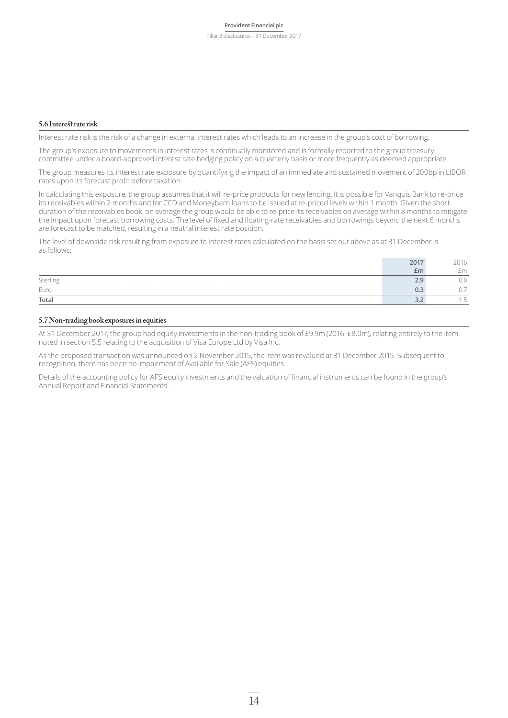#### **5.6 Interest rate risk**

Interest rate risk is the risk of a change in external interest rates which leads to an increase in the group's cost of borrowing.

The group's exposure to movements in interest rates is continually monitored and is formally reported to the group treasury committee under a board-approved interest rate hedging policy on a quarterly basis or more frequently as deemed appropriate.

The group measures its interest rate exposure by quantifying the impact of an immediate and sustained movement of 200bp in LIBOR rates upon its forecast profit before taxation.

In calculating this exposure, the group assumes that it will re-price products for new lending. It is possible for Vanquis Bank to re-price its receivables within 2 months and for CCD and Moneybarn loans to be issued at re-priced levels within 1 month. Given the short duration of the receivables book, on average the group would be able to re-price its receivables on average within 8 months to mitigate the impact upon forecast borrowing costs. The level of fixed and floating-rate receivables and borrowings beyond the next 6 months are forecast to be matched, resulting in a neutral interest rate position.

The level of downside risk resulting from exposure to interest rates calculated on the basis set out above as at 31 December is as follows:

|         | £I P | $\sim$ |
|---------|------|--------|
| Sterlin |      |        |
| Euro    |      |        |
| Total   |      |        |

#### **5.7 Non-trading book exposures in equities**

At 31 December 2017, the group had equity investments in the non-trading book of £9.9m (2016: £8.0m), relating entirely to the item noted in section 5.5 relating to the acquisition of Visa Europe Ltd by Visa Inc.

As the proposed transaction was announced on 2 November 2015, the item was revalued at 31 December 2015. Subsequent to recognition, there has been no impairment of Available for Sale (AFS) equities.

Details of the accounting policy for AFS equity investments and the valuation of financial instruments can be found in the group's Annual Report and Financial Statements.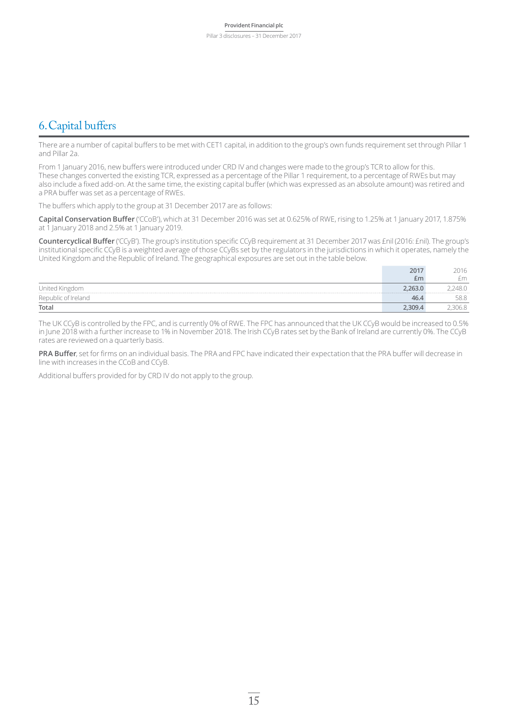### 6.Capital buffers

There are a number of capital buffers to be met with CET1 capital, in addition to the group's own funds requirement set through Pillar 1 and Pillar 2a.

From 1 January 2016, new buffers were introduced under CRD IV and changes were made to the group's TCR to allow for this. These changes converted the existing TCR, expressed as a percentage of the Pillar 1 requirement, to a percentage of RWEs but may also include a fixed add-on. At the same time, the existing capital buffer (which was expressed as an absolute amount) was retired and a PRA buffer was set as a percentage of RWEs.

The buffers which apply to the group at 31 December 2017 are as follows:

**Capital Conservation Buffer** ('CCoB'), which at 31 December 2016 was set at 0.625% of RWE, rising to 1.25% at 1 January 2017, 1.875% at 1 January 2018 and 2.5% at 1 January 2019.

**Countercyclical Buffer** ('CCyB'). The group's institution specific CCyB requirement at 31 December 2017 was £nil (2016: £nil). The group's institutional specific CCyB is a weighted average of those CCyBs set by the regulators in the jurisdictions in which it operates, namely the United Kingdom and the Republic of Ireland. The geographical exposures are set out in the table below.

|                           | £m   | £m    |
|---------------------------|------|-------|
| United Kingdom            |      | `48.0 |
| Repu<br>ublic of Ireland. | 46.4 | JU.U  |
| Total                     |      | UU.C  |

The UK CCyB is controlled by the FPC, and is currently 0% of RWE. The FPC has announced that the UK CCyB would be increased to 0.5% in June 2018 with a further increase to 1% in November 2018. The Irish CCyB rates set by the Bank of Ireland are currently 0%. The CCyB rates are reviewed on a quarterly basis.

**PRA Buffer**, set for firms on an individual basis. The PRA and FPC have indicated their expectation that the PRA buffer will decrease in line with increases in the CCoB and CCyB.

Additional buffers provided for by CRD IV do not apply to the group.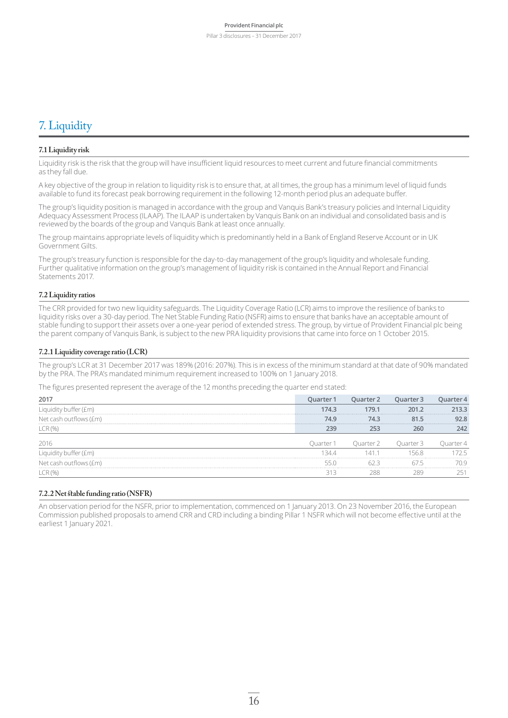### 7.Liquidity

#### **7.1 Liquidity risk**

Liquidity risk is the risk that the group will have insufficient liquid resources to meet current and future financial commitments as they fall due.

A key objective of the group in relation to liquidity risk is to ensure that, at all times, the group has a minimum level of liquid funds available to fund its forecast peak borrowing requirement in the following 12-month period plus an adequate buffer.

The group's liquidity position is managed in accordance with the group and Vanquis Bank's treasury policies and Internal Liquidity Adequacy Assessment Process (ILAAP). The ILAAP is undertaken by Vanquis Bank on an individual and consolidated basis and is reviewed by the boards of the group and Vanquis Bank at least once annually.

The group maintains appropriate levels of liquidity which is predominantly held in a Bank of England Reserve Account or in UK Government Gilts.

The group's treasury function is responsible for the day-to-day management of the group's liquidity and wholesale funding. Further qualitative information on the group's management of liquidity risk is contained in the Annual Report and Financial Statements 2017.

#### **7.2 Liquidity ratios**

The CRR provided for two new liquidity safeguards. The Liquidity Coverage Ratio (LCR) aims to improve the resilience of banks to liquidity risks over a 30-day period. The Net Stable Funding Ratio (NSFR) aims to ensure that banks have an acceptable amount of stable funding to support their assets over a one-year period of extended stress. The group, by virtue of Provident Financial plc being the parent company of Vanquis Bank, is subject to the new PRA liquidity provisions that came into force on 1 October 2015.

#### **7.2.1 Liquidity coverage ratio (LCR)**

The group's LCR at 31 December 2017 was 189% (2016: 207%). This is in excess of the minimum standard at that date of 90% mandated by the PRA. The PRA's mandated minimum requirement increased to 100% on 1 January 2018.

The figures presented represent the average of the 12 months preceding the quarter end stated:

| 201                |      |   |  |
|--------------------|------|---|--|
|                    | 14.3 |   |  |
| cash outflows (fm) |      |   |  |
|                    |      |   |  |
|                    |      |   |  |
|                    |      | 4 |  |
|                    |      |   |  |
|                    |      |   |  |

#### **7.2.2 Net stable funding ratio (NSFR)**

An observation period for the NSFR, prior to implementation, commenced on 1 January 2013. On 23 November 2016, the European Commission published proposals to amend CRR and CRD including a binding Pillar 1 NSFR which will not become effective until at the earliest 1 January 2021.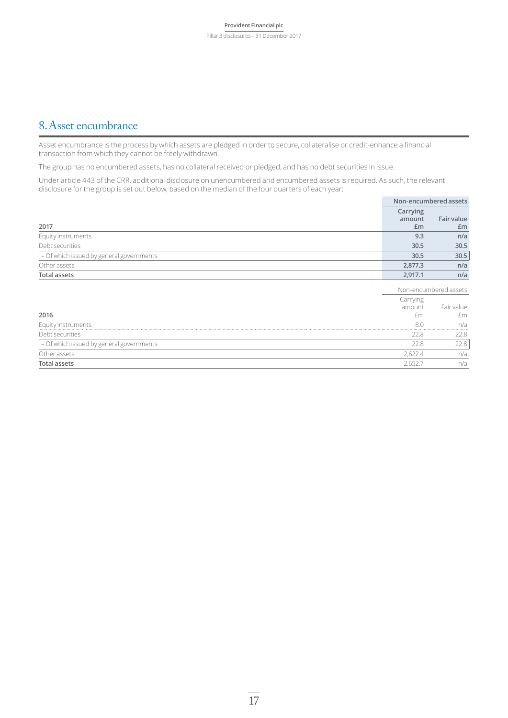### 8.Asset encumbrance

Asset encumbrance is the process by which assets are pledged in order to secure, collateralise or credit-enhance a financial transaction from which they cannot be freely withdrawn.

The group has no encumbered assets, has no collateral received or pledged, and has no debt securities in issue.

Under article 443 of the CRR, additional disclosure on unencumbered and encumbered assets is required. As such, the relevant disclosure for the group is set out below, based on the median of the four quarters of each year:

|                                          |                          | Non-encumbered assets |
|------------------------------------------|--------------------------|-----------------------|
| 2017                                     | Carrying<br>amount<br>£m | Fair value<br>Em      |
| Equity instruments                       | 9.3                      | n/a                   |
| Debt securities                          | 30.5                     | 30.5                  |
| - Of which issued by general governments | 30.5                     | 30.5                  |
| Other assets                             | 2.877.3                  | n/a                   |
| <b>Total assets</b>                      | 2.917.1                  | n/a                   |

|                                          |          | Non-encumbered assets |  |
|------------------------------------------|----------|-----------------------|--|
|                                          | Iarrying |                       |  |
|                                          | amount   | Fair value            |  |
| 2016                                     |          | fm.                   |  |
| Equity instruments                       | 80       | n/a                   |  |
| Debt securities                          |          |                       |  |
| - Of which issued by general governments |          |                       |  |
| Other assets                             | h.       | n/a                   |  |
|                                          |          | n/a                   |  |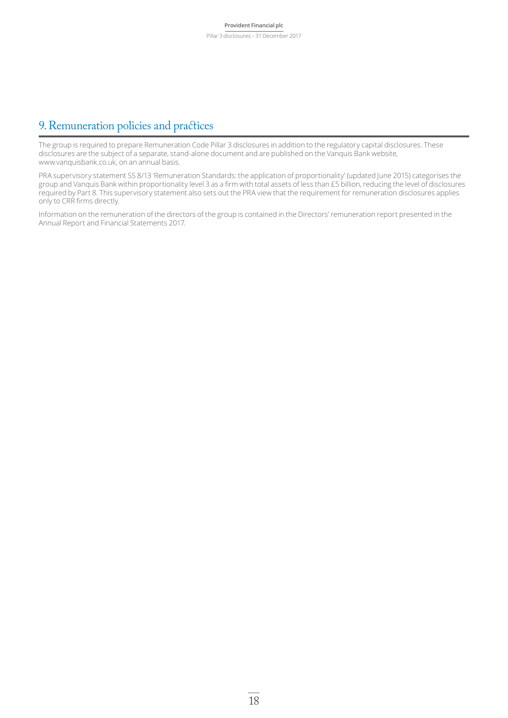### 9.Remuneration policies and practices

The group is required to prepare Remuneration Code Pillar 3 disclosures in addition to the regulatory capital disclosures. These disclosures are the subject of a separate, stand-alone document and are published on the Vanquis Bank website, www.vanquisbank.co.uk, on an annual basis.

PRA supervisory statement SS 8/13 'Remuneration Standards: the application of proportionality' (updated June 2015) categorises the group and Vanquis Bank within proportionality level 3 as a firm with total assets of less than £5 billion, reducing the level of disclosures required by Part 8. This supervisory statement also sets out the PRA view that the requirement for remuneration disclosures applies only to CRR firms directly.

Information on the remuneration of the directors of the group is contained in the Directors' remuneration report presented in the Annual Report and Financial Statements 2017.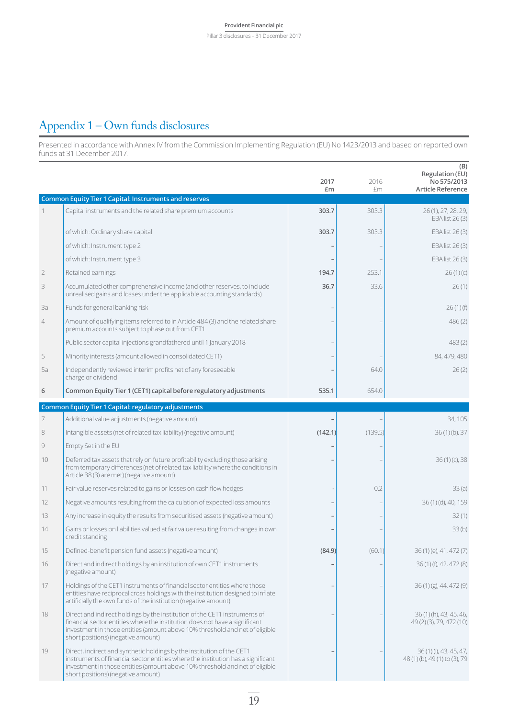### Appendix 1 – Own funds disclosures

Presented in accordance with Annex IV from the Commission Implementing Regulation (EU) No 1423/2013 and based on reported own funds at 31 December 2017.

|                |                                                                                                                                                                                                                                                                                  | 2017<br>£m | 2016<br>£m | (B)<br>Regulation (EU)<br>No 575/2013<br><b>Article Reference</b> |
|----------------|----------------------------------------------------------------------------------------------------------------------------------------------------------------------------------------------------------------------------------------------------------------------------------|------------|------------|-------------------------------------------------------------------|
|                | <b>Common Equity Tier 1 Capital: Instruments and reserves</b>                                                                                                                                                                                                                    |            |            |                                                                   |
| 1              | Capital instruments and the related share premium accounts                                                                                                                                                                                                                       | 303.7      | 303.3      | 26 (1), 27, 28, 29,<br>EBA list 26 (3)                            |
|                | of which: Ordinary share capital                                                                                                                                                                                                                                                 | 303.7      | 303.3      | EBA list 26 (3)                                                   |
|                | of which: Instrument type 2                                                                                                                                                                                                                                                      |            |            | EBA list 26(3)                                                    |
|                | of which: Instrument type 3                                                                                                                                                                                                                                                      |            |            | EBA list 26(3)                                                    |
| $\overline{2}$ | Retained earnings                                                                                                                                                                                                                                                                | 194.7      | 253.1      | 26(1)(c)                                                          |
| 3              | Accumulated other comprehensive income (and other reserves, to include<br>unrealised gains and losses under the applicable accounting standards)                                                                                                                                 | 36.7       | 33.6       | 26(1)                                                             |
| 3a             | Funds for general banking risk                                                                                                                                                                                                                                                   |            |            | 26(1)(f)                                                          |
| $\overline{4}$ | Amount of qualifying items referred to in Article 484 (3) and the related share<br>premium accounts subject to phase out from CET1                                                                                                                                               |            |            | 486(2)                                                            |
|                | Public sector capital injections grandfathered until 1 January 2018                                                                                                                                                                                                              |            |            | 483(2)                                                            |
| 5              | Minority interests (amount allowed in consolidated CET1)                                                                                                                                                                                                                         |            |            | 84, 479, 480                                                      |
| 5a             | Independently reviewed interim profits net of any foreseeable<br>charge or dividend                                                                                                                                                                                              |            | 64.0       | 26(2)                                                             |
| 6              | Common Equity Tier 1 (CET1) capital before regulatory adjustments                                                                                                                                                                                                                | 535.1      | 654.0      |                                                                   |
|                | Common Equity Tier 1 Capital: regulatory adjustments                                                                                                                                                                                                                             |            |            |                                                                   |
| 7              | Additional value adjustments (negative amount)                                                                                                                                                                                                                                   |            |            | 34, 105                                                           |
| 8              | Intangible assets (net of related tax liability) (negative amount)                                                                                                                                                                                                               | (142.1)    | (139.5)    | 36(1)(b), 37                                                      |
| 9              | Empty Set in the EU                                                                                                                                                                                                                                                              |            |            |                                                                   |
| 10             | Deferred tax assets that rely on future profitability excluding those arising<br>from temporary differences (net of related tax liability where the conditions in<br>Article 38 (3) are met) (negative amount)                                                                   |            |            | $36(1)(c)$ , 38                                                   |
| 11             | Fair value reserves related to gains or losses on cash flow hedges                                                                                                                                                                                                               |            | 0.2        | 33(a)                                                             |
| 12             | Negative amounts resulting from the calculation of expected loss amounts                                                                                                                                                                                                         |            |            | 36(1)(d), 40, 159                                                 |
| 13             | Any increase in equity the results from securitised assets (negative amount)                                                                                                                                                                                                     |            |            | 32(1)                                                             |
| 14             | Gains or losses on liabilities valued at fair value resulting from changes in own<br>credit standing                                                                                                                                                                             |            |            | 33(b)                                                             |
| 15             | Defined-benefit pension fund assets (negative amount)                                                                                                                                                                                                                            | (84.9)     | (60.1)     | 36(1)(e), 41, 472(7)                                              |
| 16             | Direct and indirect holdings by an institution of own CET1 instruments<br>(negative amount)                                                                                                                                                                                      |            |            | 36(1)(f), 42, 472(8)                                              |
| 17             | Holdings of the CET1 instruments of financial sector entities where those<br>entities have reciprocal cross holdings with the institution designed to inflate<br>artificially the own funds of the institution (negative amount)                                                 |            |            | 36(1)(g), 44, 472(9)                                              |
| 18             | Direct and indirect holdings by the institution of the CET1 instruments of<br>financial sector entities where the institution does not have a significant<br>investment in those entities (amount above 10% threshold and net of eligible<br>short positions) (negative amount)  |            |            | 36(1)(h), 43, 45, 46,<br>49 (2) (3), 79, 472 (10)                 |
| 19             | Direct, indirect and synthetic holdings by the institution of the CET1<br>instruments of financial sector entities where the institution has a significant<br>investment in those entities (amount above 10% threshold and net of eligible<br>short positions) (negative amount) |            |            | 36 (1) (i), 43, 45, 47,<br>48(1)(b), 49(1)to(3), 79               |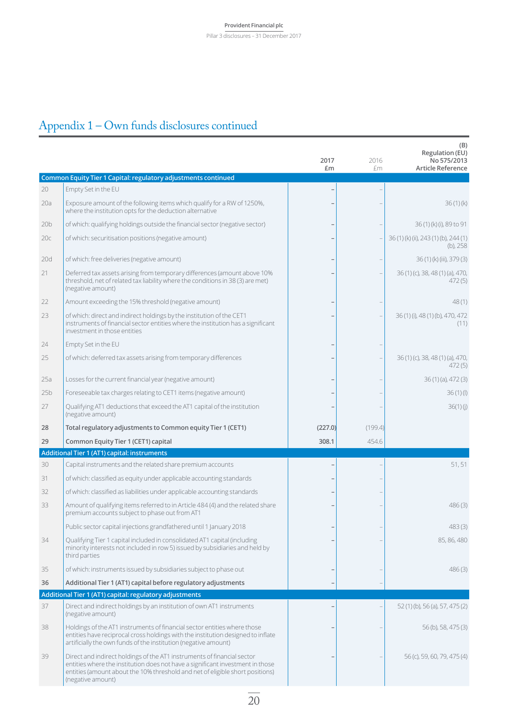#### Pillar 3 disclosures – 31 December 2017

# Appendix 1 – Own funds disclosures continued

|                 |                                                                                                                                                                                                                                 | 2017<br>£m | 2016<br>£m | (B)<br>Regulation (EU)<br>No 575/2013<br><b>Article Reference</b> |
|-----------------|---------------------------------------------------------------------------------------------------------------------------------------------------------------------------------------------------------------------------------|------------|------------|-------------------------------------------------------------------|
|                 | Common Equity Tier 1 Capital: regulatory adjustments continued                                                                                                                                                                  |            |            |                                                                   |
| 20              | Empty Set in the EU                                                                                                                                                                                                             |            |            |                                                                   |
| 20a             | Exposure amount of the following items which qualify for a RW of 1250%,<br>where the institution opts for the deduction alternative                                                                                             |            |            | 36(1)(k)                                                          |
| 20 <sub>b</sub> | of which: qualifying holdings outside the financial sector (negative sector)                                                                                                                                                    |            |            | 36(1)(k)(i), 89 to 91                                             |
| 20c             | of which: securitisation positions (negative amount)                                                                                                                                                                            |            |            | 36(1)(k)(ii), 243(1)(b), 244(1)<br>$(b)$ , 258                    |
| 20d             | of which: free deliveries (negative amount)                                                                                                                                                                                     |            |            | 36(1)(k)(iii), 379(3)                                             |
| 21              | Deferred tax assets arising from temporary differences (amount above 10%<br>threshold, net of related tax liability where the conditions in 38 (3) are met)<br>(negative amount)                                                |            |            | 36(1)(c), 38, 48(1)(a), 470,<br>472(5)                            |
| 22              | Amount exceeding the 15% threshold (negative amount)                                                                                                                                                                            |            |            | 48(1)                                                             |
| 23              | of which: direct and indirect holdings by the institution of the CET1<br>instruments of financial sector entities where the institution has a significant<br>investment in those entities                                       |            |            | 36 (1) (i), 48 (1) (b), 470, 472<br>(11)                          |
| 24              | Empty Set in the EU                                                                                                                                                                                                             |            |            |                                                                   |
| 25              | of which: deferred tax assets arising from temporary differences                                                                                                                                                                |            |            | 36(1)(c), 38, 48(1)(a), 470,<br>472(5)                            |
| 25a             | Losses for the current financial year (negative amount)                                                                                                                                                                         |            |            | $36(1)(a)$ , 472 $(3)$                                            |
| 25 <sub>b</sub> | Foreseeable tax charges relating to CET1 items (negative amount)                                                                                                                                                                |            |            | 36(1)(1)                                                          |
| 27              | Qualifying AT1 deductions that exceed the AT1 capital of the institution                                                                                                                                                        |            |            | 36(1)(i)                                                          |
|                 | (negative amount)                                                                                                                                                                                                               |            |            |                                                                   |
| 28              | Total regulatory adjustments to Common equity Tier 1 (CET1)                                                                                                                                                                     | (227.0)    | (199.4)    |                                                                   |
| 29              | Common Equity Tier 1 (CET1) capital                                                                                                                                                                                             | 308.1      | 454.6      |                                                                   |
|                 | Additional Tier 1 (AT1) capital: instruments                                                                                                                                                                                    |            |            |                                                                   |
| 30              | Capital instruments and the related share premium accounts                                                                                                                                                                      |            |            | 51,51                                                             |
| 31              | of which: classified as equity under applicable accounting standards                                                                                                                                                            |            |            |                                                                   |
| 32              | of which: classified as liabilities under applicable accounting standards                                                                                                                                                       |            |            |                                                                   |
| 33              | Amount of qualifying items referred to in Article 484 (4) and the related share<br>premium accounts subject to phase out from AT1                                                                                               |            |            | 486(3)                                                            |
|                 | Public sector capital injections grandfathered until 1 January 2018                                                                                                                                                             |            |            | 483(3)                                                            |
| 34              | Qualifying Tier 1 capital included in consolidated AT1 capital (including<br>minority interests not included in row 5) issued by subsidiaries and held by<br>third parties                                                      |            |            | 85, 86, 480                                                       |
| 35              | of which: instruments issued by subsidiaries subject to phase out                                                                                                                                                               |            |            | 486(3)                                                            |
| 36              | Additional Tier 1 (AT1) capital before regulatory adjustments                                                                                                                                                                   |            |            |                                                                   |
|                 | Additional Tier 1 (AT1) capital: regulatory adjustments                                                                                                                                                                         |            |            |                                                                   |
| 37              | Direct and indirect holdings by an institution of own AT1 instruments<br>(negative amount)                                                                                                                                      |            |            | 52(1)(b), 56(a), 57, 475(2)                                       |
| 38              | Holdings of the AT1 instruments of financial sector entities where those<br>entities have reciprocal cross holdings with the institution designed to inflate<br>artificially the own funds of the institution (negative amount) |            |            | 56 (b), 58, 475 (3)                                               |
| 39              | Direct and indirect holdings of the AT1 instruments of financial sector<br>entities where the institution does not have a significant investment in those                                                                       |            |            | 56 (c), 59, 60, 79, 475 (4)                                       |

 $\overline{20}$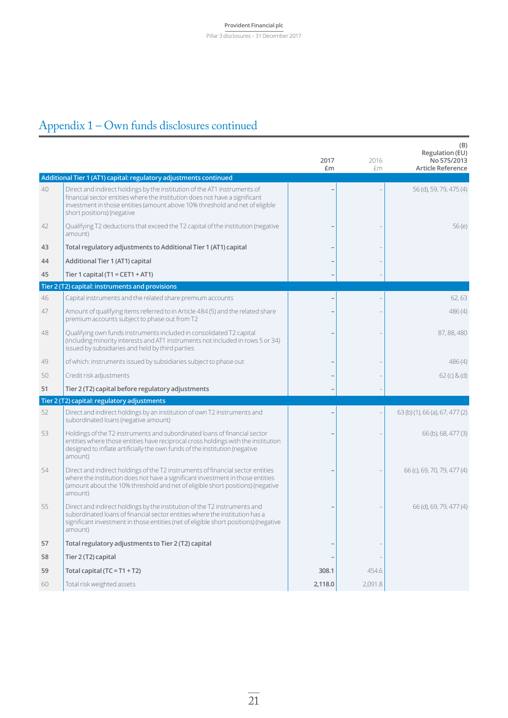Pillar 3 disclosures – 31 December 2017

# Appendix 1 – Own funds disclosures continued

|    |                                                                                                                                                                                                                                                                        | 2017<br>£m | 2016<br>£m | (B)<br>Regulation (EU)<br>No 575/2013<br><b>Article Reference</b> |
|----|------------------------------------------------------------------------------------------------------------------------------------------------------------------------------------------------------------------------------------------------------------------------|------------|------------|-------------------------------------------------------------------|
|    | Additional Tier 1 (AT1) capital: regulatory adjustments continued                                                                                                                                                                                                      |            |            |                                                                   |
| 40 | Direct and indirect holdings by the institution of the AT1 instruments of<br>financial sector entities where the institution does not have a significant<br>investment in those entities (amount above 10% threshold and net of eligible<br>short positions) (negative |            |            | 56 (d), 59, 79, 475 (4)                                           |
| 42 | Qualifying T2 deductions that exceed the T2 capital of the institution (negative<br>amount)                                                                                                                                                                            |            |            | 56(e)                                                             |
| 43 | Total regulatory adjustments to Additional Tier 1 (AT1) capital                                                                                                                                                                                                        |            |            |                                                                   |
| 44 | Additional Tier 1 (AT1) capital                                                                                                                                                                                                                                        |            |            |                                                                   |
| 45 | Tier 1 capital (T1 = CET1 + AT1)                                                                                                                                                                                                                                       |            |            |                                                                   |
|    | Tier 2 (T2) capital: instruments and provisions                                                                                                                                                                                                                        |            |            |                                                                   |
| 46 | Capital instruments and the related share premium accounts                                                                                                                                                                                                             |            |            | 62, 63                                                            |
| 47 | Amount of qualifying items referred to in Article 484 (5) and the related share<br>premium accounts subject to phase out from T2                                                                                                                                       |            |            | 486(4)                                                            |
| 48 | Qualifying own funds instruments included in consolidated T2 capital<br>(including minority interests and AT1 instruments not included in rows 5 or 34)<br>issued by subsidiaries and held by third parties                                                            |            |            | 87, 88, 480                                                       |
| 49 | of which: instruments issued by subsidiaries subject to phase out                                                                                                                                                                                                      |            |            | 486(4)                                                            |
| 50 | Credit risk adjustments                                                                                                                                                                                                                                                |            |            | 62 (c) 8 (d)                                                      |
| 51 | Tier 2 (T2) capital before regulatory adjustments                                                                                                                                                                                                                      |            |            |                                                                   |
|    | Tier 2 (T2) capital: regulatory adjustments                                                                                                                                                                                                                            |            |            |                                                                   |
| 52 | Direct and indirect holdings by an institution of own T2 instruments and<br>subordinated loans (negative amount)                                                                                                                                                       |            |            | 63 (b) (1), 66 (a), 67, 477 (2)                                   |
| 53 | Holdings of the T2 instruments and subordinated loans of financial sector<br>entities where those entities have reciprocal cross holdings with the institution<br>designed to inflate artificially the own funds of the institution (negative<br>amount)               |            |            | 66 (b), 68, 477 (3)                                               |
| 54 | Direct and indirect holdings of the T2 instruments of financial sector entities<br>where the institution does not have a significant investment in those entities<br>(amount about the 10% threshold and net of eligible short positions) (negative<br>amount)         |            |            | 66 (c), 69, 70, 79, 477 (4)                                       |
| 55 | Direct and indirect holdings by the institution of the T2 instruments and<br>subordinated loans of financial sector entities where the institution has a<br>significant investment in those entities (net of eligible short positions) (negative<br>amount)            |            |            | 66 (d), 69, 79, 477 (4)                                           |
| 57 | Total regulatory adjustments to Tier 2 (T2) capital                                                                                                                                                                                                                    |            |            |                                                                   |
| 58 | Tier 2 (T2) capital                                                                                                                                                                                                                                                    |            |            |                                                                   |
| 59 | Total capital ( $TC = T1 + T2$ )                                                                                                                                                                                                                                       | 308.1      | 454.6      |                                                                   |
| 60 | Total risk weighted assets                                                                                                                                                                                                                                             | 2,118.0    | 2,091.8    |                                                                   |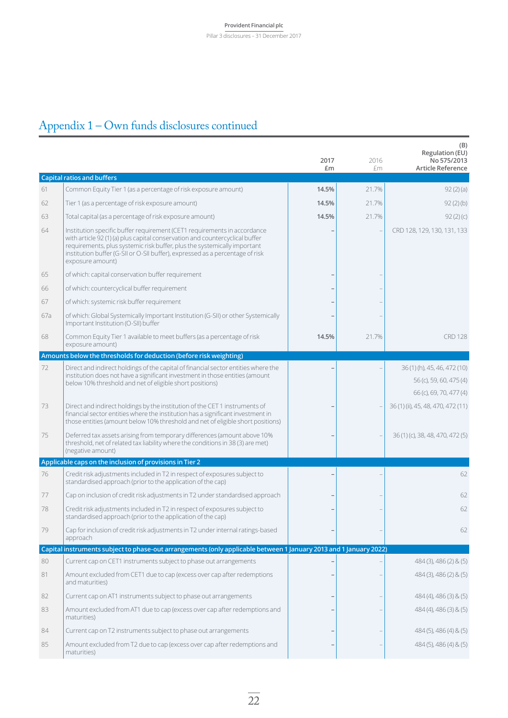#### **Provident Financial plc** Pillar 3 disclosures – 31 December 2017

# Appendix 1 – Own funds disclosures continued

|     |                                                                                                                                                                                                                                                                                                                                           | 2017<br>£m | 2016<br>£m | (B)<br>Regulation (EU)<br>No 575/2013<br><b>Article Reference</b>               |
|-----|-------------------------------------------------------------------------------------------------------------------------------------------------------------------------------------------------------------------------------------------------------------------------------------------------------------------------------------------|------------|------------|---------------------------------------------------------------------------------|
|     | <b>Capital ratios and buffers</b>                                                                                                                                                                                                                                                                                                         |            |            |                                                                                 |
| 61  | Common Equity Tier 1 (as a percentage of risk exposure amount)                                                                                                                                                                                                                                                                            | 14.5%      | 21.7%      | 92(2)(a)                                                                        |
| 62  | Tier 1 (as a percentage of risk exposure amount)                                                                                                                                                                                                                                                                                          | 14.5%      | 21.7%      | 92(2)(b)                                                                        |
| 63  | Total capital (as a percentage of risk exposure amount)                                                                                                                                                                                                                                                                                   | 14.5%      | 21.7%      | 92(2)(c)                                                                        |
| 64  | Institution specific buffer requirement (CET1 requirements in accordance<br>with article 92 (1) (a) plus capital conservation and countercyclical buffer<br>requirements, plus systemic risk buffer, plus the systemically important<br>institution buffer (G-SII or O-SII buffer), expressed as a percentage of risk<br>exposure amount) |            |            | CRD 128, 129, 130, 131, 133                                                     |
| 65  | of which: capital conservation buffer requirement                                                                                                                                                                                                                                                                                         |            |            |                                                                                 |
| 66  | of which: countercyclical buffer requirement                                                                                                                                                                                                                                                                                              |            |            |                                                                                 |
| 67  | of which: systemic risk buffer requirement                                                                                                                                                                                                                                                                                                |            |            |                                                                                 |
| 67a | of which: Global Systemically Important Institution (G-SII) or other Systemically<br>Important Institution (O-SII) buffer                                                                                                                                                                                                                 |            |            |                                                                                 |
| 68  | Common Equity Tier 1 available to meet buffers (as a percentage of risk<br>exposure amount)                                                                                                                                                                                                                                               | 14.5%      | 21.7%      | <b>CRD 128</b>                                                                  |
|     | Amounts below the thresholds for deduction (before risk weighting)                                                                                                                                                                                                                                                                        |            |            |                                                                                 |
| 72  | Direct and indirect holdings of the capital of financial sector entities where the<br>institution does not have a significant investment in those entities (amount<br>below 10% threshold and net of eligible short positions)                                                                                                            |            |            | 36(1)(h), 45, 46, 472(10)<br>56 (c), 59, 60, 475 (4)<br>66 (c), 69, 70, 477 (4) |
| 73  | Direct and indirect holdings by the institution of the CET1 instruments of<br>financial sector entities where the institution has a significant investment in<br>those entities (amount below 10% threshold and net of eligible short positions)                                                                                          |            |            | 36 (1) (ii), 45, 48, 470, 472 (11)                                              |
| 75  | Deferred tax assets arising from temporary differences (amount above 10%<br>threshold, net of related tax liability where the conditions in 38 (3) are met)<br>(negative amount)                                                                                                                                                          |            |            | 36(1)(c), 38, 48, 470, 472(5)                                                   |
|     | Applicable caps on the inclusion of provisions in Tier 2                                                                                                                                                                                                                                                                                  |            |            |                                                                                 |
| 76  | Credit risk adjustments included in T2 in respect of exposures subject to<br>standardised approach (prior to the application of the cap)                                                                                                                                                                                                  |            |            | 62                                                                              |
| 77  | Cap on inclusion of credit risk adjustments in T2 under standardised approach                                                                                                                                                                                                                                                             |            |            | 62                                                                              |
| 78  | Credit risk adjustments included in T2 in respect of exposures subject to<br>standardised approach (prior to the application of the cap)                                                                                                                                                                                                  |            |            | 62                                                                              |
| 79  | Cap for inclusion of credit risk adjustments in T2 under internal ratings-based<br>approach                                                                                                                                                                                                                                               |            |            | 62                                                                              |
|     | Capital instruments subject to phase-out arrangements (only applicable between 1 January 2013 and 1 January 2022)                                                                                                                                                                                                                         |            |            |                                                                                 |
| 80  | Current cap on CET1 instruments subject to phase out arrangements                                                                                                                                                                                                                                                                         |            |            | 484 (3), 486 (2) & (5)                                                          |
| 81  | Amount excluded from CET1 due to cap (excess over cap after redemptions<br>and maturities)                                                                                                                                                                                                                                                |            |            | 484 (3), 486 (2) & (5)                                                          |
| 82  | Current cap on AT1 instruments subject to phase out arrangements                                                                                                                                                                                                                                                                          |            |            | $484(4)$ , $486(3)$ & (5)                                                       |
| 83  | Amount excluded from AT1 due to cap (excess over cap after redemptions and<br>maturities)                                                                                                                                                                                                                                                 |            |            | $484(4)$ , $486(3)$ & (5)                                                       |
| 84  | Current cap on T2 instruments subject to phase out arrangements                                                                                                                                                                                                                                                                           |            |            | 484 (5), 486 (4) & (5)                                                          |
| 85  | Amount excluded from T2 due to cap (excess over cap after redemptions and<br>maturities)                                                                                                                                                                                                                                                  |            |            | $484(5)$ , $486(4)$ & $(5)$                                                     |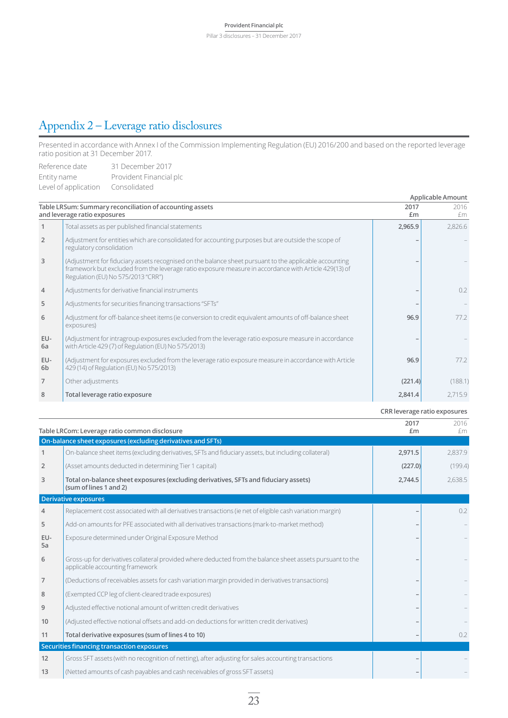### Appendix 2 – Leverage ratio disclosures

Presented in accordance with Annex I of the Commission Implementing Regulation (EU) 2016/200 and based on the reported leverage ratio position at 31 December 2017.

| Reference date       | 31 December 2017        |
|----------------------|-------------------------|
| Entity name          | Provident Financial plc |
| Level of application | Consolidated            |

|                       | corono, upplicación consolidades                                                                                                                                                                                                                      |            | Applicable Amount |
|-----------------------|-------------------------------------------------------------------------------------------------------------------------------------------------------------------------------------------------------------------------------------------------------|------------|-------------------|
|                       | Table LRSum: Summary reconciliation of accounting assets<br>and leverage ratio exposures                                                                                                                                                              | 2017<br>£m | 2016<br>£m        |
| $\mathbf{1}$          | Total assets as per published financial statements                                                                                                                                                                                                    | 2,965.9    | 2,826.6           |
| 2                     | Adjustment for entities which are consolidated for accounting purposes but are outside the scope of<br>regulatory consolidation                                                                                                                       |            |                   |
| 3                     | (Adjustment for fiduciary assets recognised on the balance sheet pursuant to the applicable accounting<br>framework but excluded from the leverage ratio exposure measure in accordance with Article 429(13) of<br>Regulation (EU) No 575/2013 "CRR") |            |                   |
| $\overline{4}$        | Adjustments for derivative financial instruments                                                                                                                                                                                                      |            | 0.2               |
| 5                     | Adjustments for securities financing transactions "SFTs"                                                                                                                                                                                              |            |                   |
| 6                     | Adjustment for off-balance sheet items (ie conversion to credit equivalent amounts of off-balance sheet<br>exposures)                                                                                                                                 | 96.9       | 77.2              |
| EU-<br>6a             | (Adjustment for intragroup exposures excluded from the leverage ratio exposure measure in accordance<br>with Article 429 (7) of Regulation (EU) No 575/2013)                                                                                          |            |                   |
| EU-<br>6 <sub>b</sub> | (Adjustment for exposures excluded from the leverage ratio exposure measure in accordance with Article<br>429 (14) of Regulation (EU) No 575/2013)                                                                                                    | 96.9       | 77.2              |
| $\overline{7}$        | Other adjustments                                                                                                                                                                                                                                     | (221.4)    | (188.1)           |
| 8                     | Total leverage ratio exposure                                                                                                                                                                                                                         | 2,841.4    | 2,715.9           |

**CRR leverage ratio exposures**

|                | Table LRCom: Leverage ratio common disclosure                                                                                                | 2017<br>£m | 2016<br>fm |
|----------------|----------------------------------------------------------------------------------------------------------------------------------------------|------------|------------|
|                | On-balance sheet exposures (excluding derivatives and SFTs)                                                                                  |            |            |
| 1              | On-balance sheet items (excluding derivatives, SFTs and fiduciary assets, but including collateral)                                          | 2,971.5    | 2,837.9    |
| $\overline{2}$ | (Asset amounts deducted in determining Tier 1 capital)                                                                                       | (227.0)    | (199.4)    |
| 3              | Total on-balance sheet exposures (excluding derivatives, SFTs and fiduciary assets)<br>(sum of lines 1 and 2)                                | 2,744.5    | 2,638.5    |
|                | <b>Derivative exposures</b>                                                                                                                  |            |            |
| $\overline{4}$ | Replacement cost associated with all derivatives transactions (ie net of eligible cash variation margin)                                     |            | 0.2        |
| 5              | Add-on amounts for PFE associated with all derivatives transactions (mark-to-market method)                                                  |            |            |
| EU-<br>5a      | Exposure determined under Original Exposure Method                                                                                           |            |            |
| 6              | Gross-up for derivatives collateral provided where deducted from the balance sheet assets pursuant to the<br>applicable accounting framework |            |            |
| 7              | (Deductions of receivables assets for cash variation margin provided in derivatives transactions)                                            |            |            |
| 8              | (Exempted CCP leg of client-cleared trade exposures)                                                                                         |            |            |
| 9              | Adjusted effective notional amount of written credit derivatives                                                                             |            |            |
| 10             | (Adjusted effective notional offsets and add-on deductions for written credit derivatives)                                                   |            |            |
| 11             | Total derivative exposures (sum of lines 4 to 10)                                                                                            |            | 0.2        |
|                | Securities financing transaction exposures                                                                                                   |            |            |
| 12             | Gross SFT assets (with no recognition of netting), after adjusting for sales accounting transactions                                         |            |            |
| 13             | (Netted amounts of cash payables and cash receivables of gross SFT assets)                                                                   |            |            |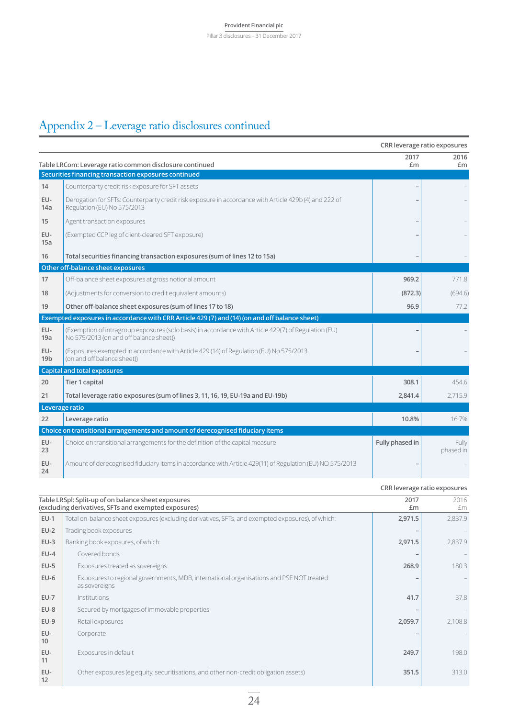## Appendix 2 – Leverage ratio disclosures continued

|                        |                                                                                                                                                 |                 | CRR leverage ratio exposures |
|------------------------|-------------------------------------------------------------------------------------------------------------------------------------------------|-----------------|------------------------------|
|                        | Table LRCom: Leverage ratio common disclosure continued                                                                                         | 2017<br>£m      | 2016<br>£m                   |
|                        | Securities financing transaction exposures continued                                                                                            |                 |                              |
| 14                     | Counterparty credit risk exposure for SFT assets                                                                                                |                 |                              |
| EU-<br>14a             | Derogation for SFTs: Counterparty credit risk exposure in accordance with Article 429b (4) and 222 of<br>Regulation (EU) No 575/2013            |                 |                              |
| 15                     | Agent transaction exposures                                                                                                                     |                 |                              |
| EU-<br>15a             | (Exempted CCP leg of client-cleared SFT exposure)                                                                                               |                 |                              |
| 16                     | Total securities financing transaction exposures (sum of lines 12 to 15a)                                                                       |                 |                              |
|                        | Other off-balance sheet exposures                                                                                                               |                 |                              |
| 17                     | Off-balance sheet exposures at gross notional amount                                                                                            | 969.2           | 771.8                        |
| 18                     | (Adjustments for conversion to credit equivalent amounts)                                                                                       | (872.3)         | (694.6)                      |
| 19                     | Other off-balance sheet exposures (sum of lines 17 to 18)                                                                                       | 96.9            | 77.2                         |
|                        | Exempted exposures in accordance with CRR Article 429 (7) and (14) (on and off balance sheet)                                                   |                 |                              |
| EU-<br>19a             | (Exemption of intragroup exposures (solo basis) in accordance with Article 429(7) of Regulation (EU)<br>No 575/2013 (on and off balance sheet)) |                 |                              |
| EU-<br>19 <sub>b</sub> | (Exposures exempted in accordance with Article 429 (14) of Regulation (EU) No 575/2013<br>(on and off balance sheet))                           |                 |                              |
|                        | <b>Capital and total exposures</b>                                                                                                              |                 |                              |
| 20                     | Tier 1 capital                                                                                                                                  | 308.1           | 454.6                        |
| 21                     | Total leverage ratio exposures (sum of lines 3, 11, 16, 19, EU-19a and EU-19b)                                                                  | 2,841.4         | 2,715.9                      |
|                        | Leverage ratio                                                                                                                                  |                 |                              |
| 22                     | Leverage ratio                                                                                                                                  | 10.8%           | 16.7%                        |
|                        | Choice on transitional arrangements and amount of derecognised fiduciary items                                                                  |                 |                              |
| EU-<br>23              | Choice on transitional arrangements for the definition of the capital measure                                                                   | Fully phased in | Fully<br>phased in           |
| EU-<br>24              | Amount of derecognised fiduciary items in accordance with Article 429(11) of Regulation (EU) NO 575/2013                                        |                 |                              |

|           |                                                                                                             |            | CRR leverage ratio exposures |
|-----------|-------------------------------------------------------------------------------------------------------------|------------|------------------------------|
|           | Table LRSpl: Split-up of on balance sheet exposures<br>(excluding derivatives, SFTs and exempted exposures) | 2017<br>£m | 2016<br>£m                   |
| $EU-1$    | Total on-balance sheet exposures (excluding derivatives, SFTs, and exempted exposures), of which:           | 2,971.5    | 2,837.9                      |
| $EU-2$    | Trading book exposures                                                                                      |            |                              |
| $EU-3$    | Banking book exposures, of which:                                                                           | 2,971.5    | 2,837.9                      |
| $EU-4$    | Covered bonds                                                                                               |            |                              |
| $EU-5$    | Exposures treated as sovereigns                                                                             | 268.9      | 180.3                        |
| $EU-6$    | Exposures to regional governments, MDB, international organisations and PSE NOT treated<br>as sovereigns    |            |                              |
| $EU-7$    | Institutions                                                                                                | 41.7       | 37.8                         |
| $EU-8$    | Secured by mortgages of immovable properties                                                                |            |                              |
| $EU-9$    | Retail exposures                                                                                            | 2,059.7    | 2,108.8                      |
| EU-<br>10 | Corporate                                                                                                   |            |                              |
| EU-<br>11 | Exposures in default                                                                                        | 249.7      | 198.0                        |
| EU-<br>12 | Other exposures (eg equity, securitisations, and other non-credit obligation assets)                        | 351.5      | 313.0                        |
|           |                                                                                                             |            |                              |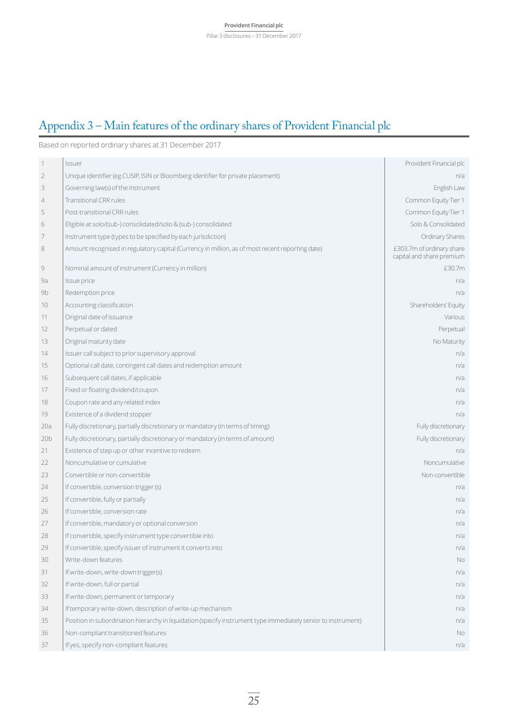### Appendix 3 – Main features of the ordinary shares of Provident Financial plc

Based on reported ordinary shares at 31 December 2017

| 1               | Issuer                                                                                                        | Provident Financial plc                                |
|-----------------|---------------------------------------------------------------------------------------------------------------|--------------------------------------------------------|
| $\overline{2}$  | Unique identifier (eg CUSIP, ISIN or Bloomberg identifier for private placement)                              | n/a                                                    |
| 3               | Governing law(s) of the instrument                                                                            | English Law                                            |
| 4               | <b>Transitional CRR rules</b>                                                                                 | Common Equity Tier 1                                   |
| 5               | Post-transitional CRR rules                                                                                   | Common Equity Tier 1                                   |
| 6               | Eligible at solo/(sub-) consolidated/solo & (sub-) consolidated                                               | Solo & Consolidated                                    |
| 7               | Instrument type (types to be specified by each jurisdiction)                                                  | Ordinary Shares                                        |
| 8               | Amount recognised in regulatory capital (Currency in million, as of most recent reporting date)               | £303.7m of ordinary share<br>capital and share premium |
| 9               | Nominal amount of instrument (Currency in million)                                                            | £30.7m                                                 |
| 9a              | Issue price                                                                                                   | n/a                                                    |
| 9b              | Redemption price                                                                                              | n/a                                                    |
| 10              | Accounting classification                                                                                     | Shareholders' Equity                                   |
| 11              | Original date of issuance                                                                                     | Various                                                |
| 12              | Perpetual or dated                                                                                            | Perpetual                                              |
| 13              | Original maturity date                                                                                        | No Maturity                                            |
| 14              | Issuer call subject to prior supervisory approval                                                             | n/a                                                    |
| 15              | Optional call date, contingent call dates and redemption amount                                               | n/a                                                    |
| 16              | Subsequent call dates, if applicable                                                                          | n/a                                                    |
| 17              | Fixed or floating dividend/coupon                                                                             | n/a                                                    |
| 18              | Coupon rate and any related index                                                                             | n/a                                                    |
| 19              | Existence of a dividend stopper                                                                               | n/a                                                    |
| 20a             | Fully discretionary, partially discretionary or mandatory (in terms of timing)                                | Fully discretionary                                    |
| 20 <sub>b</sub> | Fully discretionary, partially discretionary or mandatory (in terms of amount)                                | Fully discretionary                                    |
| 21              | Existence of step up or other incentive to redeem                                                             | n/a                                                    |
| 22              | Noncumulative or cumulative                                                                                   | Noncumulative                                          |
| 23              | Convertible or non-convertible                                                                                | Non-convertible                                        |
| 24              | If convertible, conversion trigger (s)                                                                        | n/a                                                    |
| 25              | If convertible, fully or partially                                                                            | n/a                                                    |
| 26              | If convertible, conversion rate                                                                               | n/a                                                    |
| 27              | If convertible, mandatory or optional conversion                                                              | n/a                                                    |
| 28              | If convertible, specify instrument type convertible into                                                      | n/a                                                    |
| 29              | If convertible, specify issuer of instrument it converts into                                                 | n/a                                                    |
| 30              | Write-down features                                                                                           | <b>No</b>                                              |
| 31              | If write-down, write-down trigger(s)                                                                          | n/a                                                    |
| 32              | If write-down, full or partial                                                                                | n/a                                                    |
| 33              | If write-down, permanent or temporary                                                                         | n/a                                                    |
| 34              | If temporary write-down, description of write-up mechanism                                                    | n/a                                                    |
| 35              | Position in subordination hierarchy in liquidation (specify instrument type immediately senior to instrument) | n/a                                                    |
| 36              | Non-compliant transitioned features                                                                           | No.                                                    |
| 37              | If yes, specify non-compliant features                                                                        | n/a                                                    |